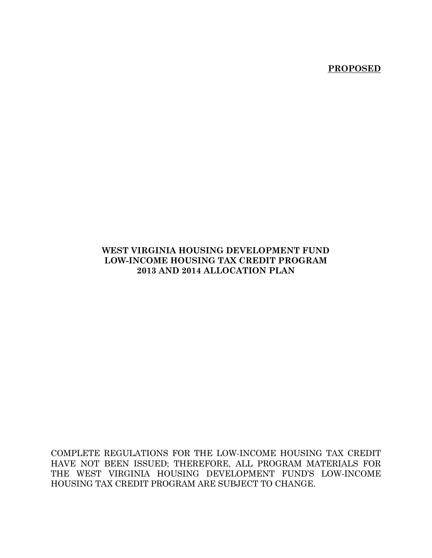**PROPOSED**

### **WEST VIRGINIA HOUSING DEVELOPMENT FUND LOW-INCOME HOUSING TAX CREDIT PROGRAM 2013 AND 2014 ALLOCATION PLAN**

COMPLETE REGULATIONS FOR THE LOW-INCOME HOUSING TAX CREDIT HAVE NOT BEEN ISSUED; THEREFORE, ALL PROGRAM MATERIALS FOR THE WEST VIRGINIA HOUSING DEVELOPMENT FUND'S LOW-INCOME HOUSING TAX CREDIT PROGRAM ARE SUBJECT TO CHANGE.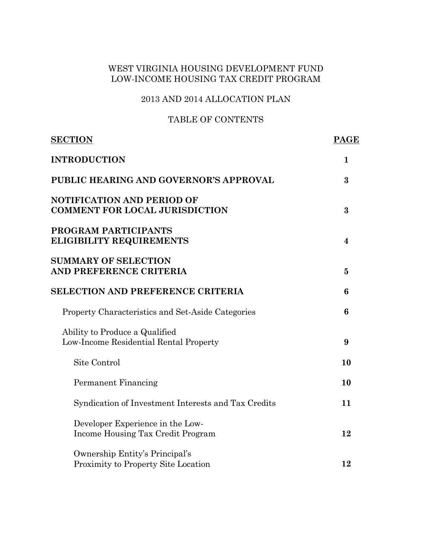### 2013 AND 2014 ALLOCATION PLAN

### TABLE OF CONTENTS

| <b>SECTION</b>                                                             | <b>PAGE</b>      |
|----------------------------------------------------------------------------|------------------|
| <b>INTRODUCTION</b>                                                        | $\mathbf 1$      |
| PUBLIC HEARING AND GOVERNOR'S APPROVAL                                     | 3                |
| <b>NOTIFICATION AND PERIOD OF</b><br><b>COMMENT FOR LOCAL JURISDICTION</b> | 3                |
| PROGRAM PARTICIPANTS<br><b>ELIGIBILITY REQUIREMENTS</b>                    | $\boldsymbol{4}$ |
| <b>SUMMARY OF SELECTION</b><br>AND PREFERENCE CRITERIA                     | $\bf{5}$         |
| <b>SELECTION AND PREFERENCE CRITERIA</b>                                   | 6                |
| Property Characteristics and Set-Aside Categories                          | 6                |
| Ability to Produce a Qualified<br>Low-Income Residential Rental Property   | 9                |
| Site Control                                                               | 10               |
| Permanent Financing                                                        | 10               |
| Syndication of Investment Interests and Tax Credits                        | 11               |
| Developer Experience in the Low-<br>Income Housing Tax Credit Program      | 12               |
| Ownership Entity's Principal's<br>Proximity to Property Site Location      | 12               |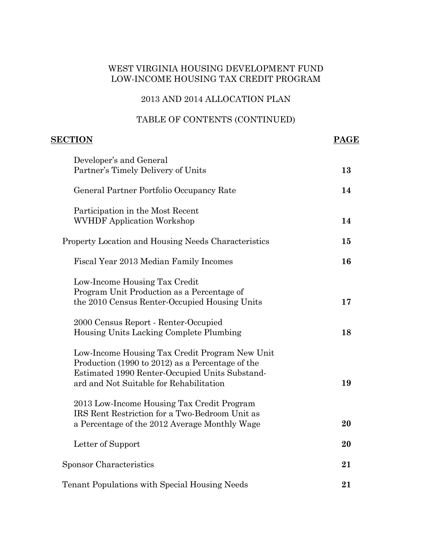#### 2013 AND 2014 ALLOCATION PLAN

#### TABLE OF CONTENTS (CONTINUED)

# **SECTION PAGE** Developer's and General Partner's Timely Delivery of Units **13**  General Partner Portfolio Occupancy Rate **14**  Participation in the Most Recent WVHDF Application Workshop **14**  Property Location and Housing Needs Characteristics **15**  Fiscal Year 2013 Median Family Incomes **16**  Low-Income Housing Tax Credit Program Unit Production as a Percentage of the 2010 Census Renter-Occupied Housing Units **17**  2000 Census Report - Renter-Occupied Housing Units Lacking Complete Plumbing **18**  Low-Income Housing Tax Credit Program New Unit Production (1990 to 2012) as a Percentage of the Estimated 1990 Renter-Occupied Units Substand ard and Not Suitable for Rehabilitation **19**  2013 Low-Income Housing Tax Credit Program IRS Rent Restriction for a Two-Bedroom Unit as a Percentage of the 2012 Average Monthly Wage **20**  Letter of Support **20**  Sponsor Characteristics **21**  Tenant Populations with Special Housing Needs **21**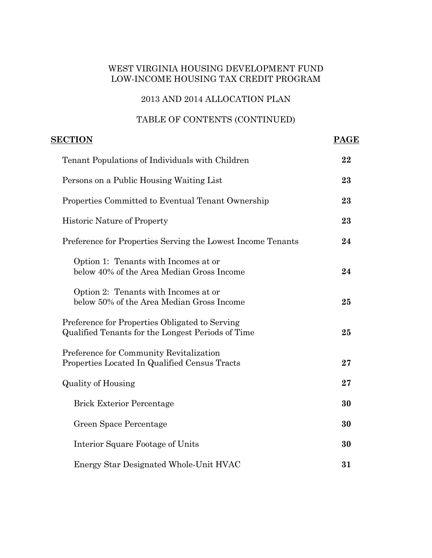### 2013 AND 2014 ALLOCATION PLAN

| <b>SECTION</b><br><b>PAGE</b>                                                                       |    |  |
|-----------------------------------------------------------------------------------------------------|----|--|
| Tenant Populations of Individuals with Children                                                     | 22 |  |
| Persons on a Public Housing Waiting List                                                            | 23 |  |
| Properties Committed to Eventual Tenant Ownership                                                   | 23 |  |
| <b>Historic Nature of Property</b>                                                                  | 23 |  |
| Preference for Properties Serving the Lowest Income Tenants                                         | 24 |  |
| Option 1: Tenants with Incomes at or<br>below 40% of the Area Median Gross Income                   | 24 |  |
| Option 2: Tenants with Incomes at or<br>below 50% of the Area Median Gross Income                   | 25 |  |
| Preference for Properties Obligated to Serving<br>Qualified Tenants for the Longest Periods of Time | 25 |  |
| Preference for Community Revitalization<br>Properties Located In Qualified Census Tracts            | 27 |  |
| <b>Quality of Housing</b>                                                                           | 27 |  |
| <b>Brick Exterior Percentage</b>                                                                    | 30 |  |
| Green Space Percentage                                                                              | 30 |  |
| Interior Square Footage of Units                                                                    | 30 |  |
| Energy Star Designated Whole-Unit HVAC                                                              | 31 |  |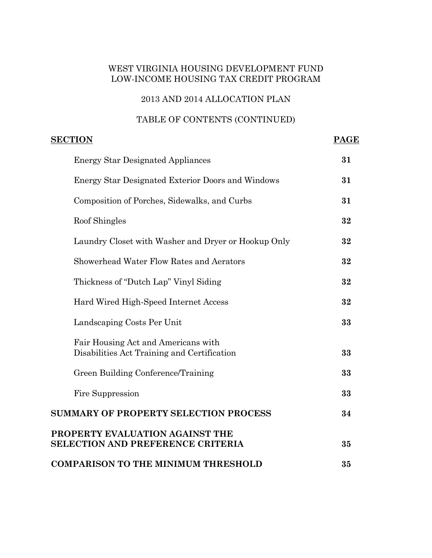### 2013 AND 2014 ALLOCATION PLAN

| <b>SECTION</b><br><b>PAGE</b>                                                      |    |  |
|------------------------------------------------------------------------------------|----|--|
| <b>Energy Star Designated Appliances</b>                                           | 31 |  |
| <b>Energy Star Designated Exterior Doors and Windows</b>                           | 31 |  |
| Composition of Porches, Sidewalks, and Curbs                                       | 31 |  |
| Roof Shingles                                                                      | 32 |  |
| Laundry Closet with Washer and Dryer or Hookup Only                                | 32 |  |
| Showerhead Water Flow Rates and Aerators                                           | 32 |  |
| Thickness of "Dutch Lap" Vinyl Siding                                              | 32 |  |
| Hard Wired High-Speed Internet Access                                              | 32 |  |
| Landscaping Costs Per Unit                                                         | 33 |  |
| Fair Housing Act and Americans with<br>Disabilities Act Training and Certification | 33 |  |
| Green Building Conference/Training                                                 | 33 |  |
| Fire Suppression                                                                   | 33 |  |
| <b>SUMMARY OF PROPERTY SELECTION PROCESS</b>                                       | 34 |  |
| PROPERTY EVALUATION AGAINST THE<br><b>SELECTION AND PREFERENCE CRITERIA</b>        | 35 |  |
| <b>COMPARISON TO THE MINIMUM THRESHOLD</b>                                         | 35 |  |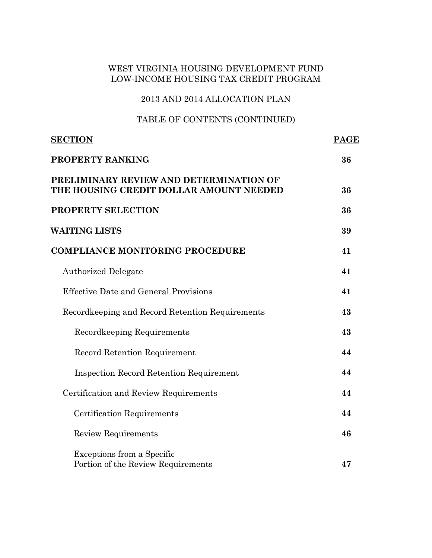### 2013 AND 2014 ALLOCATION PLAN

| <b>SECTION</b>                                                                     | <b>PAGE</b> |  |
|------------------------------------------------------------------------------------|-------------|--|
| PROPERTY RANKING                                                                   |             |  |
| PRELIMINARY REVIEW AND DETERMINATION OF<br>THE HOUSING CREDIT DOLLAR AMOUNT NEEDED | 36          |  |
| PROPERTY SELECTION                                                                 | 36          |  |
| <b>WAITING LISTS</b>                                                               | 39          |  |
| <b>COMPLIANCE MONITORING PROCEDURE</b>                                             | 41          |  |
| <b>Authorized Delegate</b>                                                         | 41          |  |
| <b>Effective Date and General Provisions</b>                                       | 41          |  |
| Recordkeeping and Record Retention Requirements                                    | 43          |  |
| Recordkeeping Requirements                                                         | 43          |  |
| <b>Record Retention Requirement</b>                                                | 44          |  |
| <b>Inspection Record Retention Requirement</b>                                     | 44          |  |
| Certification and Review Requirements                                              | 44          |  |
| Certification Requirements                                                         | 44          |  |
| <b>Review Requirements</b>                                                         | 46          |  |
| Exceptions from a Specific<br>Portion of the Review Requirements                   | 47          |  |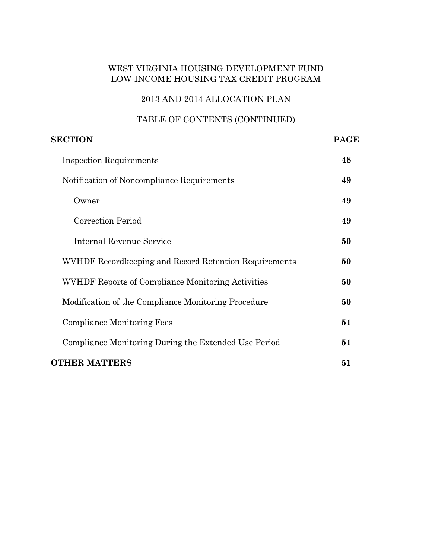### 2013 AND 2014 ALLOCATION PLAN

| <b>SECTION</b>                                           |    |  |
|----------------------------------------------------------|----|--|
| <b>Inspection Requirements</b>                           | 48 |  |
| Notification of Noncompliance Requirements               | 49 |  |
| Owner                                                    | 49 |  |
| <b>Correction Period</b>                                 | 49 |  |
| Internal Revenue Service                                 | 50 |  |
| WVHDF Recordkeeping and Record Retention Requirements    | 50 |  |
| <b>WVHDF Reports of Compliance Monitoring Activities</b> | 50 |  |
| Modification of the Compliance Monitoring Procedure      | 50 |  |
| <b>Compliance Monitoring Fees</b>                        | 51 |  |
| Compliance Monitoring During the Extended Use Period     | 51 |  |
| <b>OTHER MATTERS</b>                                     | 51 |  |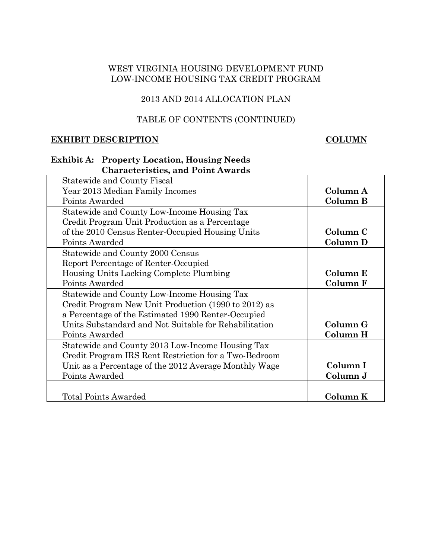## 2013 AND 2014 ALLOCATION PLAN

### TABLE OF CONTENTS (CONTINUED)

#### **EXHIBIT DESCRIPTION COLUMN**

### **Exhibit A: Property Location, Housing Needs Characteristics, and Point Awards**

| Statewide and County Fiscal                           |          |
|-------------------------------------------------------|----------|
| Year 2013 Median Family Incomes                       | Column A |
| Points Awarded                                        | Column B |
| Statewide and County Low-Income Housing Tax           |          |
| Credit Program Unit Production as a Percentage        |          |
| of the 2010 Census Renter-Occupied Housing Units      | Column C |
| Points Awarded                                        | Column D |
| Statewide and County 2000 Census                      |          |
| Report Percentage of Renter-Occupied                  |          |
| Housing Units Lacking Complete Plumbing               | Column E |
| Points Awarded                                        | Column F |
| Statewide and County Low-Income Housing Tax           |          |
| Credit Program New Unit Production (1990 to 2012) as  |          |
| a Percentage of the Estimated 1990 Renter-Occupied    |          |
| Units Substandard and Not Suitable for Rehabilitation | Column G |
| Points Awarded                                        | Column H |
| Statewide and County 2013 Low-Income Housing Tax      |          |
| Credit Program IRS Rent Restriction for a Two-Bedroom |          |
| Unit as a Percentage of the 2012 Average Monthly Wage | Column I |
| Points Awarded                                        | Column J |
|                                                       |          |
| <b>Total Points Awarded</b>                           | Column K |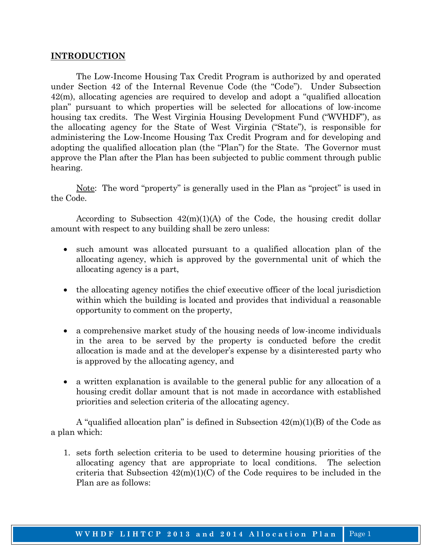#### **INTRODUCTION**

 The Low-Income Housing Tax Credit Program is authorized by and operated under Section 42 of the Internal Revenue Code (the "Code"). Under Subsection 42(m), allocating agencies are required to develop and adopt a "qualified allocation plan" pursuant to which properties will be selected for allocations of low-income housing tax credits. The West Virginia Housing Development Fund ("WVHDF"), as the allocating agency for the State of West Virginia ("State"), is responsible for administering the Low-Income Housing Tax Credit Program and for developing and adopting the qualified allocation plan (the "Plan") for the State. The Governor must approve the Plan after the Plan has been subjected to public comment through public hearing.

 Note: The word "property" is generally used in the Plan as "project" is used in the Code.

According to Subsection  $42(m)(1)(A)$  of the Code, the housing credit dollar amount with respect to any building shall be zero unless:

- such amount was allocated pursuant to a qualified allocation plan of the allocating agency, which is approved by the governmental unit of which the allocating agency is a part,
- the allocating agency notifies the chief executive officer of the local jurisdiction within which the building is located and provides that individual a reasonable opportunity to comment on the property,
- a comprehensive market study of the housing needs of low-income individuals in the area to be served by the property is conducted before the credit allocation is made and at the developer's expense by a disinterested party who is approved by the allocating agency, and
- a written explanation is available to the general public for any allocation of a housing credit dollar amount that is not made in accordance with established priorities and selection criteria of the allocating agency.

 A "qualified allocation plan" is defined in Subsection 42(m)(1)(B) of the Code as a plan which:

1. sets forth selection criteria to be used to determine housing priorities of the allocating agency that are appropriate to local conditions. The selection criteria that Subsection  $42(m)(1)(C)$  of the Code requires to be included in the Plan are as follows: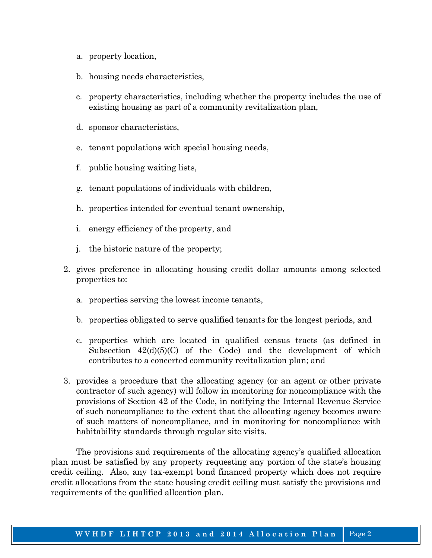- a. property location,
- b. housing needs characteristics,
- c. property characteristics, including whether the property includes the use of existing housing as part of a community revitalization plan,
- d. sponsor characteristics,
- e. tenant populations with special housing needs,
- f. public housing waiting lists,
- g. tenant populations of individuals with children,
- h. properties intended for eventual tenant ownership,
- i. energy efficiency of the property, and
- j. the historic nature of the property;
- 2. gives preference in allocating housing credit dollar amounts among selected properties to:
	- a. properties serving the lowest income tenants,
	- b. properties obligated to serve qualified tenants for the longest periods, and
	- c. properties which are located in qualified census tracts (as defined in Subsection  $42(d)(5)(C)$  of the Code) and the development of which contributes to a concerted community revitalization plan; and
- 3. provides a procedure that the allocating agency (or an agent or other private contractor of such agency) will follow in monitoring for noncompliance with the provisions of Section 42 of the Code, in notifying the Internal Revenue Service of such noncompliance to the extent that the allocating agency becomes aware of such matters of noncompliance, and in monitoring for noncompliance with habitability standards through regular site visits.

 The provisions and requirements of the allocating agency's qualified allocation plan must be satisfied by any property requesting any portion of the state's housing credit ceiling. Also, any tax-exempt bond financed property which does not require credit allocations from the state housing credit ceiling must satisfy the provisions and requirements of the qualified allocation plan.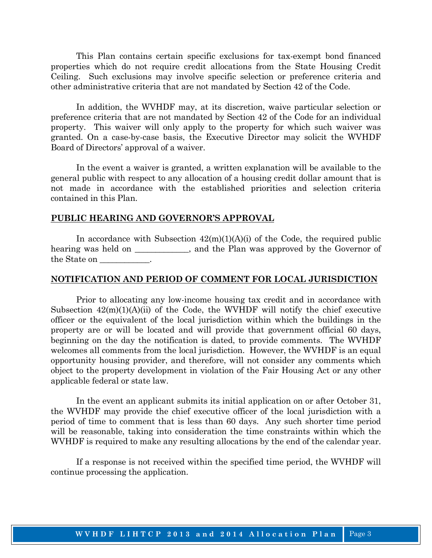This Plan contains certain specific exclusions for tax-exempt bond financed properties which do not require credit allocations from the State Housing Credit Ceiling. Such exclusions may involve specific selection or preference criteria and other administrative criteria that are not mandated by Section 42 of the Code.

 In addition, the WVHDF may, at its discretion, waive particular selection or preference criteria that are not mandated by Section 42 of the Code for an individual property. This waiver will only apply to the property for which such waiver was granted. On a case-by-case basis, the Executive Director may solicit the WVHDF Board of Directors' approval of a waiver.

 In the event a waiver is granted, a written explanation will be available to the general public with respect to any allocation of a housing credit dollar amount that is not made in accordance with the established priorities and selection criteria contained in this Plan.

#### **PUBLIC HEARING AND GOVERNOR'S APPROVAL**

In accordance with Subsection  $42(m)(1)(A)(i)$  of the Code, the required public hearing was held on \_\_\_\_\_\_\_\_\_\_, and the Plan was approved by the Governor of the State on \_\_\_\_\_\_\_\_\_\_\_\_.

#### **NOTIFICATION AND PERIOD OF COMMENT FOR LOCAL JURISDICTION**

 Prior to allocating any low-income housing tax credit and in accordance with Subsection  $42(m)(1)(A)(ii)$  of the Code, the WVHDF will notify the chief executive officer or the equivalent of the local jurisdiction within which the buildings in the property are or will be located and will provide that government official 60 days, beginning on the day the notification is dated, to provide comments. The WVHDF welcomes all comments from the local jurisdiction. However, the WVHDF is an equal opportunity housing provider, and therefore, will not consider any comments which object to the property development in violation of the Fair Housing Act or any other applicable federal or state law.

 In the event an applicant submits its initial application on or after October 31, the WVHDF may provide the chief executive officer of the local jurisdiction with a period of time to comment that is less than 60 days. Any such shorter time period will be reasonable, taking into consideration the time constraints within which the WVHDF is required to make any resulting allocations by the end of the calendar year.

 If a response is not received within the specified time period, the WVHDF will continue processing the application.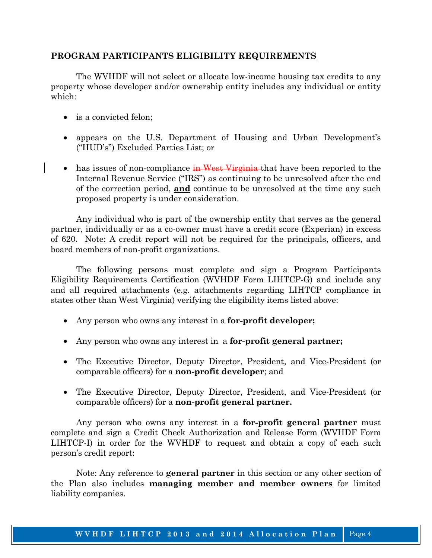#### **PROGRAM PARTICIPANTS ELIGIBILITY REQUIREMENTS**

 The WVHDF will not select or allocate low-income housing tax credits to any property whose developer and/or ownership entity includes any individual or entity which:

- is a convicted felon;
- appears on the U.S. Department of Housing and Urban Development's ("HUD's") Excluded Parties List; or
- has issues of non-compliance in West Virginia that have been reported to the Internal Revenue Service ("IRS") as continuing to be unresolved after the end of the correction period, **and** continue to be unresolved at the time any such proposed property is under consideration.

 Any individual who is part of the ownership entity that serves as the general partner, individually or as a co-owner must have a credit score (Experian) in excess of 620. Note: A credit report will not be required for the principals, officers, and board members of non-profit organizations.

 The following persons must complete and sign a Program Participants Eligibility Requirements Certification (WVHDF Form LIHTCP-G) and include any and all required attachments (e.g. attachments regarding LIHTCP compliance in states other than West Virginia) verifying the eligibility items listed above:

- Any person who owns any interest in a **for-profit developer;**
- Any person who owns any interest in a **for-profit general partner;**
- The Executive Director, Deputy Director, President, and Vice-President (or comparable officers) for a **non-profit developer**; and
- The Executive Director, Deputy Director, President, and Vice-President (or comparable officers) for a **non-profit general partner.**

Any person who owns any interest in a **for-profit general partner** must complete and sign a Credit Check Authorization and Release Form (WVHDF Form LIHTCP-I) in order for the WVHDF to request and obtain a copy of each such person's credit report:

 Note: Any reference to **general partner** in this section or any other section of the Plan also includes **managing member and member owners** for limited liability companies.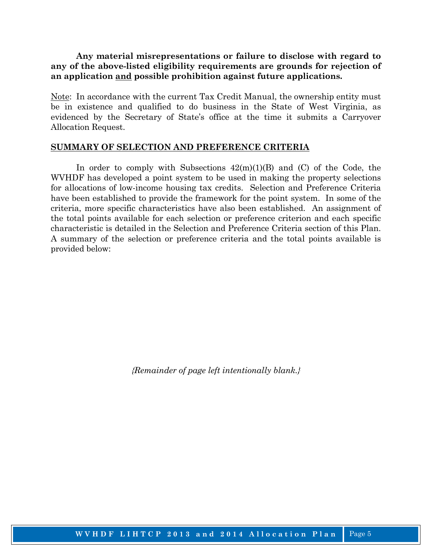**Any material misrepresentations or failure to disclose with regard to any of the above-listed eligibility requirements are grounds for rejection of an application and possible prohibition against future applications.** 

Note: In accordance with the current Tax Credit Manual, the ownership entity must be in existence and qualified to do business in the State of West Virginia, as evidenced by the Secretary of State's office at the time it submits a Carryover Allocation Request.

#### **SUMMARY OF SELECTION AND PREFERENCE CRITERIA**

In order to comply with Subsections  $42(m)(1)(B)$  and (C) of the Code, the WVHDF has developed a point system to be used in making the property selections for allocations of low-income housing tax credits. Selection and Preference Criteria have been established to provide the framework for the point system. In some of the criteria, more specific characteristics have also been established. An assignment of the total points available for each selection or preference criterion and each specific characteristic is detailed in the Selection and Preference Criteria section of this Plan. A summary of the selection or preference criteria and the total points available is provided below: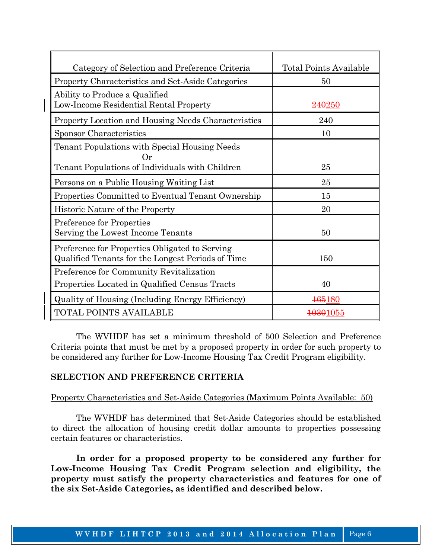| Category of Selection and Preference Criteria                                                              | <b>Total Points Available</b> |  |
|------------------------------------------------------------------------------------------------------------|-------------------------------|--|
| Property Characteristics and Set-Aside Categories                                                          | 50                            |  |
| Ability to Produce a Qualified<br>Low-Income Residential Rental Property                                   | <del>240</del> 250            |  |
| <b>Property Location and Housing Needs Characteristics</b>                                                 | 240                           |  |
| Sponsor Characteristics                                                                                    | 10                            |  |
| Tenant Populations with Special Housing Needs<br>$O_r$                                                     |                               |  |
| Tenant Populations of Individuals with Children                                                            | 25                            |  |
| Persons on a Public Housing Waiting List                                                                   | 25                            |  |
| Properties Committed to Eventual Tenant Ownership                                                          | 15                            |  |
| Historic Nature of the Property                                                                            | 20                            |  |
| Preference for Properties<br>Serving the Lowest Income Tenants                                             | 50                            |  |
| Preference for Properties Obligated to Serving<br>Qualified Tenants for the Longest Periods of Time<br>150 |                               |  |
| Preference for Community Revitalization                                                                    |                               |  |
| Properties Located in Qualified Census Tracts<br>40                                                        |                               |  |
| <b>Quality of Housing (Including Energy Efficiency)</b><br>165180                                          |                               |  |
| TOTAL POINTS AVAILABLE<br>10301055                                                                         |                               |  |

 The WVHDF has set a minimum threshold of 500 Selection and Preference Criteria points that must be met by a proposed property in order for such property to be considered any further for Low-Income Housing Tax Credit Program eligibility.

### **SELECTION AND PREFERENCE CRITERIA**

### Property Characteristics and Set-Aside Categories (Maximum Points Available: 50)

 The WVHDF has determined that Set-Aside Categories should be established to direct the allocation of housing credit dollar amounts to properties possessing certain features or characteristics.

 **In order for a proposed property to be considered any further for Low-Income Housing Tax Credit Program selection and eligibility, the property must satisfy the property characteristics and features for one of the six Set-Aside Categories, as identified and described below.**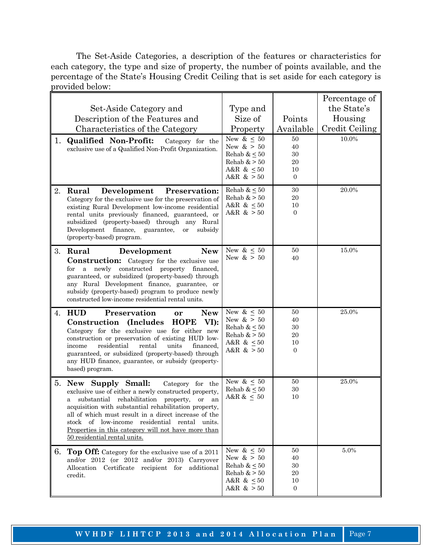The Set-Aside Categories, a description of the features or characteristics for each category, the type and size of property, the number of points available, and the percentage of the State's Housing Credit Ceiling that is set aside for each category is provided below:

|    |                                                                                                               |                                    |                      | Percentage of         |
|----|---------------------------------------------------------------------------------------------------------------|------------------------------------|----------------------|-----------------------|
|    | Set-Aside Category and                                                                                        | Type and                           |                      | the State's           |
|    | Description of the Features and                                                                               | Size of                            | Points               | Housing               |
|    | Characteristics of the Category                                                                               | Property                           | Available            | <b>Credit Ceiling</b> |
| 1. | <b>Qualified Non-Profit:</b><br>Category for the                                                              | New $\&\leq 50$                    | 50                   | 10.0%                 |
|    | exclusive use of a Qualified Non-Profit Organization.                                                         | New $> 50$                         | 40                   |                       |
|    |                                                                                                               | Rehab & $\leq 50$<br>Rehab $>50$   | 30<br>20             |                       |
|    |                                                                                                               | A&R & $\leq 50$                    | 10                   |                       |
|    |                                                                                                               | A&R $\&$ > 50                      | $\overline{0}$       |                       |
| 2. | Rural<br>Development<br><b>Preservation:</b>                                                                  | Rehab & $\leq 50$                  | 30                   | 20.0%                 |
|    | Category for the exclusive use for the preservation of                                                        | Rehab $>50$                        | $20\,$               |                       |
|    | existing Rural Development low-income residential                                                             | A&R & $\leq 50$                    | 10<br>$\overline{0}$ |                       |
|    | rental units previously financed, guaranteed, or<br>subsidized (property-based) through any Rural             | A&R $>50$                          |                      |                       |
|    | Development finance, guarantee,<br>subsidy<br><b>or</b>                                                       |                                    |                      |                       |
|    | (property-based) program.                                                                                     |                                    |                      |                       |
| 3. | Rural<br>Development<br><b>New</b>                                                                            | New & $\leq 50$                    | 50                   | 15.0%                 |
|    | <b>Construction:</b> Category for the exclusive use                                                           | New $\&$ > 50                      | 40                   |                       |
|    | a newly constructed property financed,<br>for                                                                 |                                    |                      |                       |
|    | guaranteed, or subsidized (property-based) through                                                            |                                    |                      |                       |
|    | any Rural Development finance, guarantee, or<br>subsidy (property-based) program to produce newly             |                                    |                      |                       |
|    | constructed low-income residential rental units.                                                              |                                    |                      |                       |
| 4. | <b>HUD</b><br>Preservation<br><b>New</b><br>or                                                                | New & $\leq 50$                    | 50                   | 25.0%                 |
|    | <b>HOPE</b><br>Construction<br><i>(Includes)</i><br>VI):                                                      | New $> 50$                         | 40                   |                       |
|    | Category for the exclusive use for either new                                                                 | Rehab $\& \leq 50$<br>Rehab $>50$  | 30<br>$20\,$         |                       |
|    | construction or preservation of existing HUD low-                                                             | A&R & $\leq 50$                    | 10                   |                       |
|    | residential<br>rental<br>units<br>income<br>financed,<br>guaranteed, or subsidized (property-based) through   | A&R $>50$                          | $\overline{0}$       |                       |
|    | any HUD finance, guarantee, or subsidy (property-                                                             |                                    |                      |                       |
|    | based) program.                                                                                               |                                    |                      |                       |
| 5. | New Supply Small:<br>Category for the                                                                         | New & $\leq 50$                    | 50                   | 25.0%                 |
|    | exclusive use of either a newly constructed property,                                                         | Rehab & $\leq 50$                  | 30                   |                       |
|    | substantial rehabilitation property,<br>or<br>an<br>a                                                         | A&R & $\leq 50$                    | 10                   |                       |
|    | acquisition with substantial rehabilitation property,<br>all of which must result in a direct increase of the |                                    |                      |                       |
|    | of low-income residential rental<br>stock<br>units.                                                           |                                    |                      |                       |
|    | <u>Properties in this category will not have more than</u>                                                    |                                    |                      |                       |
|    | 50 residential rental units.                                                                                  |                                    |                      |                       |
| 6. | Top Off: Category for the exclusive use of a 2011                                                             | New & $\leq$ 50                    | 50                   | $5.0\%$               |
|    | and/or 2012 (or 2012 and/or 2013) Carryover                                                                   | New $\&$ > 50<br>Rehab & $\leq 50$ | 40<br>30             |                       |
|    | Allocation Certificate recipient for additional<br>credit.                                                    | Rehab $>50$                        | 20                   |                       |
|    |                                                                                                               | A&R & $\leq 50$                    | 10                   |                       |
|    |                                                                                                               | A&R $>50$                          | $\mathbf{0}$         |                       |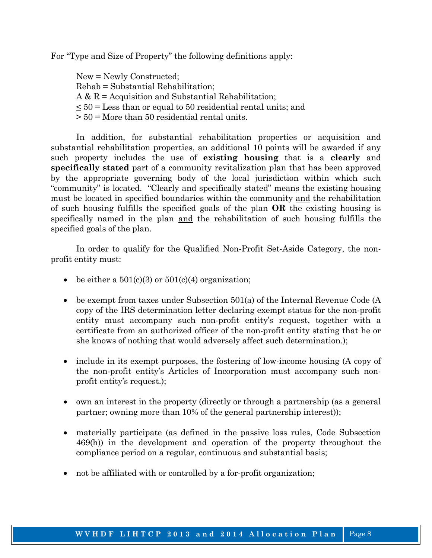For "Type and Size of Property" the following definitions apply:

 New = Newly Constructed; Rehab = Substantial Rehabilitation;  $A & R =$  Acquisition and Substantial Rehabilitation; < 50 = Less than or equal to 50 residential rental units; and > 50 = More than 50 residential rental units.

 In addition, for substantial rehabilitation properties or acquisition and substantial rehabilitation properties, an additional 10 points will be awarded if any such property includes the use of **existing housing** that is a **clearly** and **specifically stated** part of a community revitalization plan that has been approved by the appropriate governing body of the local jurisdiction within which such "community" is located. "Clearly and specifically stated" means the existing housing must be located in specified boundaries within the community and the rehabilitation of such housing fulfills the specified goals of the plan **OR** the existing housing is specifically named in the plan and the rehabilitation of such housing fulfills the specified goals of the plan.

 In order to qualify for the Qualified Non-Profit Set-Aside Category, the nonprofit entity must:

- be either a  $501(c)(3)$  or  $501(c)(4)$  organization;
- be exempt from taxes under Subsection 501(a) of the Internal Revenue Code (A copy of the IRS determination letter declaring exempt status for the non-profit entity must accompany such non-profit entity's request, together with a certificate from an authorized officer of the non-profit entity stating that he or she knows of nothing that would adversely affect such determination.);
- include in its exempt purposes, the fostering of low-income housing (A copy of the non-profit entity's Articles of Incorporation must accompany such nonprofit entity's request.);
- own an interest in the property (directly or through a partnership (as a general partner; owning more than 10% of the general partnership interest));
- materially participate (as defined in the passive loss rules, Code Subsection 469(h)) in the development and operation of the property throughout the compliance period on a regular, continuous and substantial basis;
- not be affiliated with or controlled by a for-profit organization;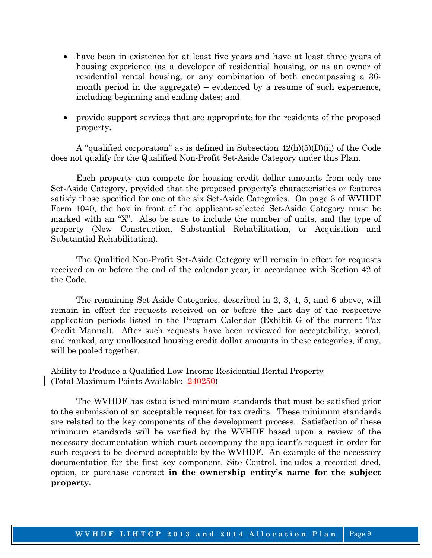- have been in existence for at least five years and have at least three years of housing experience (as a developer of residential housing, or as an owner of residential rental housing, or any combination of both encompassing a 36 month period in the aggregate) – evidenced by a resume of such experience, including beginning and ending dates; and
- provide support services that are appropriate for the residents of the proposed property.

 A "qualified corporation" as is defined in Subsection 42(h)(5)(D)(ii) of the Code does not qualify for the Qualified Non-Profit Set-Aside Category under this Plan.

 Each property can compete for housing credit dollar amounts from only one Set-Aside Category, provided that the proposed property's characteristics or features satisfy those specified for one of the six Set-Aside Categories. On page 3 of WVHDF Form 1040, the box in front of the applicant-selected Set-Aside Category must be marked with an "X". Also be sure to include the number of units, and the type of property (New Construction, Substantial Rehabilitation, or Acquisition and Substantial Rehabilitation).

 The Qualified Non-Profit Set-Aside Category will remain in effect for requests received on or before the end of the calendar year, in accordance with Section 42 of the Code.

 The remaining Set-Aside Categories, described in 2, 3, 4, 5, and 6 above, will remain in effect for requests received on or before the last day of the respective application periods listed in the Program Calendar (Exhibit G of the current Tax Credit Manual). After such requests have been reviewed for acceptability, scored, and ranked, any unallocated housing credit dollar amounts in these categories, if any, will be pooled together.

### Ability to Produce a Qualified Low-Income Residential Rental Property (Total Maximum Points Available: 240250)

 The WVHDF has established minimum standards that must be satisfied prior to the submission of an acceptable request for tax credits. These minimum standards are related to the key components of the development process. Satisfaction of these minimum standards will be verified by the WVHDF based upon a review of the necessary documentation which must accompany the applicant's request in order for such request to be deemed acceptable by the WVHDF. An example of the necessary documentation for the first key component, Site Control, includes a recorded deed, option, or purchase contract **in the ownership entity's name for the subject property.**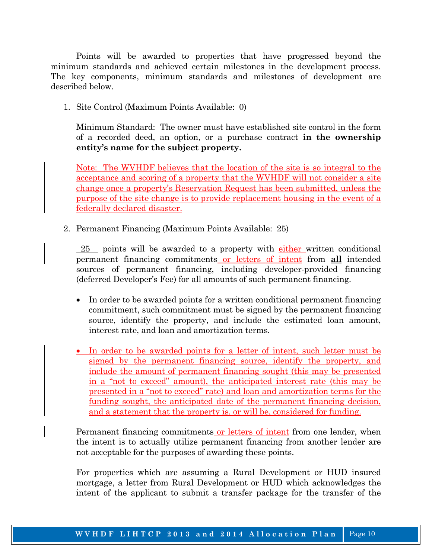Points will be awarded to properties that have progressed beyond the minimum standards and achieved certain milestones in the development process. The key components, minimum standards and milestones of development are described below.

1. Site Control (Maximum Points Available: 0)

 Minimum Standard: The owner must have established site control in the form of a recorded deed, an option, or a purchase contract **in the ownership entity's name for the subject property.** 

Note: The WVHDF believes that the location of the site is so integral to the acceptance and scoring of a property that the WVHDF will not consider a site change once a property's Reservation Request has been submitted, unless the purpose of the site change is to provide replacement housing in the event of a federally declared disaster.

2. Permanent Financing (Maximum Points Available: 25)

 25 points will be awarded to a property with either written conditional permanent financing commitments or letters of intent from **all** intended sources of permanent financing, including developer-provided financing (deferred Developer's Fee) for all amounts of such permanent financing.

- In order to be awarded points for a written conditional permanent financing commitment, such commitment must be signed by the permanent financing source, identify the property, and include the estimated loan amount, interest rate, and loan and amortization terms.
- In order to be awarded points for a letter of intent, such letter must be signed by the permanent financing source, identify the property, and include the amount of permanent financing sought (this may be presented in a "not to exceed" amount), the anticipated interest rate (this may be presented in a "not to exceed" rate) and loan and amortization terms for the funding sought, the anticipated date of the permanent financing decision, and a statement that the property is, or will be, considered for funding.

Permanent financing commitments or letters of intent from one lender, when the intent is to actually utilize permanent financing from another lender are not acceptable for the purposes of awarding these points.

For properties which are assuming a Rural Development or HUD insured mortgage, a letter from Rural Development or HUD which acknowledges the intent of the applicant to submit a transfer package for the transfer of the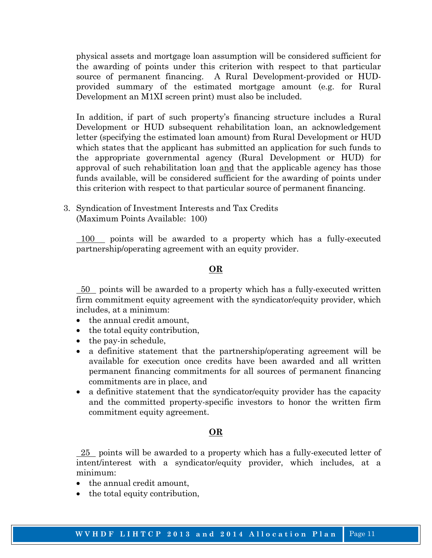physical assets and mortgage loan assumption will be considered sufficient for the awarding of points under this criterion with respect to that particular source of permanent financing. A Rural Development-provided or HUDprovided summary of the estimated mortgage amount (e.g. for Rural Development an M1XI screen print) must also be included.

In addition, if part of such property's financing structure includes a Rural Development or HUD subsequent rehabilitation loan, an acknowledgement letter (specifying the estimated loan amount) from Rural Development or HUD which states that the applicant has submitted an application for such funds to the appropriate governmental agency (Rural Development or HUD) for approval of such rehabilitation loan and that the applicable agency has those funds available, will be considered sufficient for the awarding of points under this criterion with respect to that particular source of permanent financing.

3. Syndication of Investment Interests and Tax Credits (Maximum Points Available: 100)

 100 points will be awarded to a property which has a fully-executed partnership/operating agreement with an equity provider.

#### **OR**

 50 points will be awarded to a property which has a fully-executed written firm commitment equity agreement with the syndicator/equity provider, which includes, at a minimum:

- the annual credit amount,
- the total equity contribution,
- the pay-in schedule,
- a definitive statement that the partnership/operating agreement will be available for execution once credits have been awarded and all written permanent financing commitments for all sources of permanent financing commitments are in place, and
- a definitive statement that the syndicator/equity provider has the capacity and the committed property-specific investors to honor the written firm commitment equity agreement.

#### **OR**

 $25$  points will be awarded to a property which has a fully-executed letter of intent/interest with a syndicator/equity provider, which includes, at a minimum:

- the annual credit amount,
- the total equity contribution,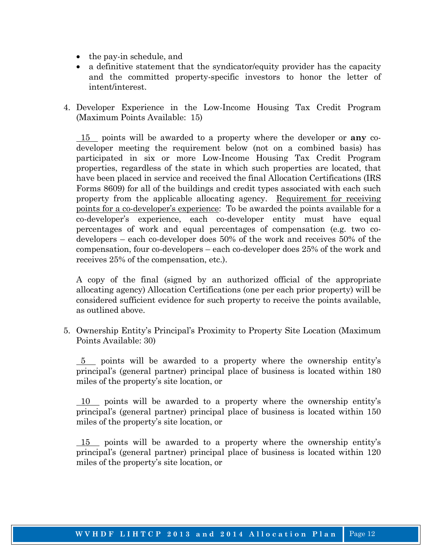- the pay-in schedule, and
- a definitive statement that the syndicator/equity provider has the capacity and the committed property-specific investors to honor the letter of intent/interest.
- 4. Developer Experience in the Low-Income Housing Tax Credit Program (Maximum Points Available: 15)

 15 points will be awarded to a property where the developer or **any** codeveloper meeting the requirement below (not on a combined basis) has participated in six or more Low-Income Housing Tax Credit Program properties, regardless of the state in which such properties are located, that have been placed in service and received the final Allocation Certifications (IRS Forms 8609) for all of the buildings and credit types associated with each such property from the applicable allocating agency. Requirement for receiving points for a co-developer's experience: To be awarded the points available for a co-developer's experience, each co-developer entity must have equal percentages of work and equal percentages of compensation (e.g. two codevelopers – each co-developer does 50% of the work and receives 50% of the compensation, four co-developers – each co-developer does 25% of the work and receives 25% of the compensation, etc.).

 A copy of the final (signed by an authorized official of the appropriate allocating agency) Allocation Certifications (one per each prior property) will be considered sufficient evidence for such property to receive the points available, as outlined above.

 5. Ownership Entity's Principal's Proximity to Property Site Location (Maximum Points Available: 30)

 5 points will be awarded to a property where the ownership entity's principal's (general partner) principal place of business is located within 180 miles of the property's site location, or

10 points will be awarded to a property where the ownership entity's principal's (general partner) principal place of business is located within 150 miles of the property's site location, or

 15 points will be awarded to a property where the ownership entity's principal's (general partner) principal place of business is located within 120 miles of the property's site location, or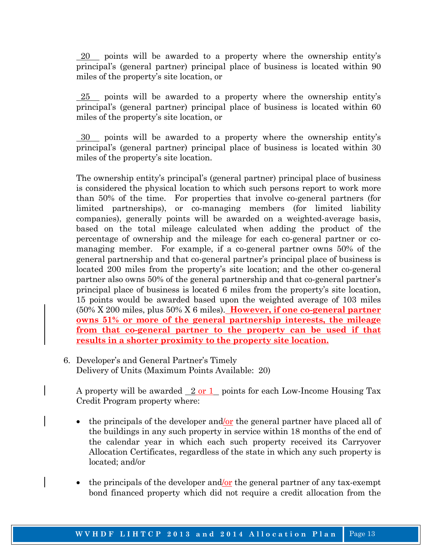$\sqrt{20}$  points will be awarded to a property where the ownership entity's principal's (general partner) principal place of business is located within 90 miles of the property's site location, or

 $25$  points will be awarded to a property where the ownership entity's principal's (general partner) principal place of business is located within 60 miles of the property's site location, or

 30 points will be awarded to a property where the ownership entity's principal's (general partner) principal place of business is located within 30 miles of the property's site location.

 The ownership entity's principal's (general partner) principal place of business is considered the physical location to which such persons report to work more than 50% of the time. For properties that involve co-general partners (for limited partnerships), or co-managing members (for limited liability companies), generally points will be awarded on a weighted-average basis, based on the total mileage calculated when adding the product of the percentage of ownership and the mileage for each co-general partner or comanaging member. For example, if a co-general partner owns 50% of the general partnership and that co-general partner's principal place of business is located 200 miles from the property's site location; and the other co-general partner also owns 50% of the general partnership and that co-general partner's principal place of business is located 6 miles from the property's site location, 15 points would be awarded based upon the weighted average of 103 miles (50% X 200 miles, plus 50% X 6 miles). **However, if one co-general partner owns 51% or more of the general partnership interests, the mileage from that co-general partner to the property can be used if that results in a shorter proximity to the property site location.**

 6. Developer's and General Partner's Timely Delivery of Units (Maximum Points Available: 20)

A property will be awarded  $\sqrt{2 \text{ or } 1}$  points for each Low-Income Housing Tax Credit Program property where:

- the principals of the developer and/or the general partner have placed all of the buildings in any such property in service within 18 months of the end of the calendar year in which each such property received its Carryover Allocation Certificates, regardless of the state in which any such property is located; and/or
- the principals of the developer and/or the general partner of any tax-exempt bond financed property which did not require a credit allocation from the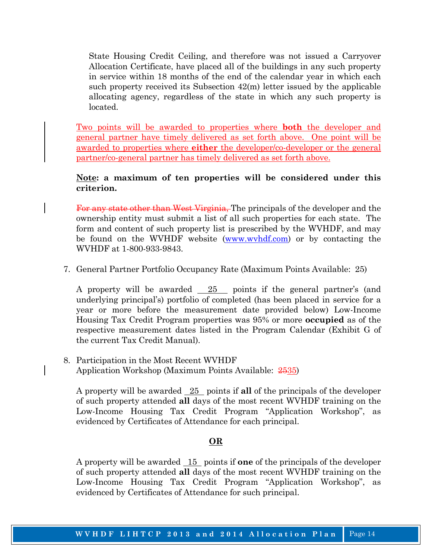State Housing Credit Ceiling, and therefore was not issued a Carryover Allocation Certificate, have placed all of the buildings in any such property in service within 18 months of the end of the calendar year in which each such property received its Subsection 42(m) letter issued by the applicable allocating agency, regardless of the state in which any such property is located.

 Two points will be awarded to properties where **both** the developer and general partner have timely delivered as set forth above. One point will be awarded to properties where **either** the developer/co-developer or the general partner/co-general partner has timely delivered as set forth above.

### **Note: a maximum of ten properties will be considered under this criterion.**

 For any state other than West Virginia, The principals of the developer and the ownership entity must submit a list of all such properties for each state. The form and content of such property list is prescribed by the WVHDF, and may be found on the WVHDF website (www.wvhdf.com) or by contacting the WVHDF at 1-800-933-9843.

7. General Partner Portfolio Occupancy Rate (Maximum Points Available: 25)

A property will be awarded  $\frac{25}{25}$  points if the general partner's (and underlying principal's) portfolio of completed (has been placed in service for a year or more before the measurement date provided below) Low-Income Housing Tax Credit Program properties was 95% or more **occupied** as of the respective measurement dates listed in the Program Calendar (Exhibit G of the current Tax Credit Manual).

8. Participation in the Most Recent WVHDF Application Workshop (Maximum Points Available:  $2535$ )

 A property will be awarded 25 points if **all** of the principals of the developer of such property attended **all** days of the most recent WVHDF training on the Low-Income Housing Tax Credit Program "Application Workshop", as evidenced by Certificates of Attendance for each principal.

### **OR**

A property will be awarded 15 points if **one** of the principals of the developer of such property attended **all** days of the most recent WVHDF training on the Low-Income Housing Tax Credit Program "Application Workshop", as evidenced by Certificates of Attendance for such principal.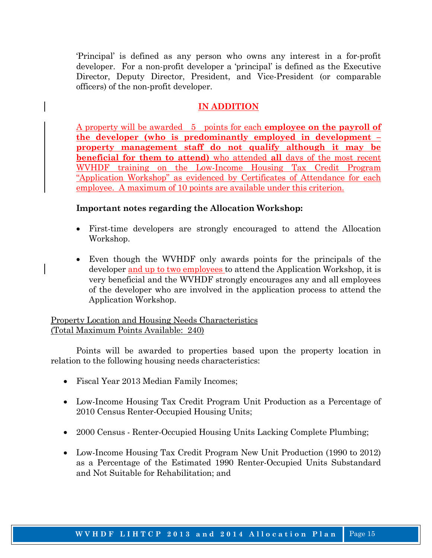'Principal' is defined as any person who owns any interest in a for-profit developer. For a non-profit developer a 'principal' is defined as the Executive Director, Deputy Director, President, and Vice-President (or comparable officers) of the non-profit developer.

### **IN ADDITION**

A property will be awarded 5 points for each **employee on the payroll of the developer (who is predominantly employed in development – property management staff do not qualify although it may be beneficial for them to attend)** who attended **all** days of the most recent WVHDF training on the Low-Income Housing Tax Credit Program "Application Workshop" as evidenced by Certificates of Attendance for each employee. A maximum of 10 points are available under this criterion.

### **Important notes regarding the Allocation Workshop:**

- First-time developers are strongly encouraged to attend the Allocation Workshop.
- Even though the WVHDF only awards points for the principals of the developer and up to two employees to attend the Application Workshop, it is very beneficial and the WVHDF strongly encourages any and all employees of the developer who are involved in the application process to attend the Application Workshop.

### Property Location and Housing Needs Characteristics (Total Maximum Points Available: 240)

 Points will be awarded to properties based upon the property location in relation to the following housing needs characteristics:

- Fiscal Year 2013 Median Family Incomes;
- Low-Income Housing Tax Credit Program Unit Production as a Percentage of 2010 Census Renter-Occupied Housing Units;
- 2000 Census Renter-Occupied Housing Units Lacking Complete Plumbing;
- Low-Income Housing Tax Credit Program New Unit Production (1990 to 2012) as a Percentage of the Estimated 1990 Renter-Occupied Units Substandard and Not Suitable for Rehabilitation; and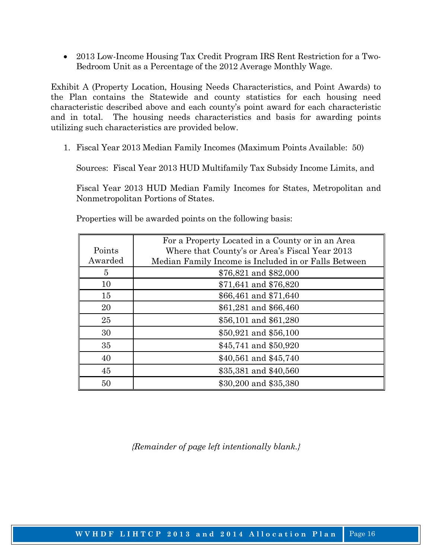• 2013 Low-Income Housing Tax Credit Program IRS Rent Restriction for a Two-Bedroom Unit as a Percentage of the 2012 Average Monthly Wage.

Exhibit A (Property Location, Housing Needs Characteristics, and Point Awards) to the Plan contains the Statewide and county statistics for each housing need characteristic described above and each county's point award for each characteristic and in total. The housing needs characteristics and basis for awarding points utilizing such characteristics are provided below.

1. Fiscal Year 2013 Median Family Incomes (Maximum Points Available: 50)

Sources: Fiscal Year 2013 HUD Multifamily Tax Subsidy Income Limits, and

Fiscal Year 2013 HUD Median Family Incomes for States, Metropolitan and Nonmetropolitan Portions of States.

|         | For a Property Located in a County or in an Area     |
|---------|------------------------------------------------------|
| Points  | Where that County's or Area's Fiscal Year 2013       |
| Awarded | Median Family Income is Included in or Falls Between |
| 5       | \$76,821 and \$82,000                                |
| 10      | \$71,641 and \$76,820                                |
| 15      | \$66,461 and \$71,640                                |
| 20      | \$61,281 and \$66,460                                |
| 25      | \$56,101 and \$61,280                                |
| 30      | \$50,921 and \$56,100                                |
| 35      | \$45,741 and \$50,920                                |
| 40      | \$40,561 and \$45,740                                |
| 45      | \$35,381 and \$40,560                                |
| 50      | \$30,200 and \$35,380                                |

Properties will be awarded points on the following basis: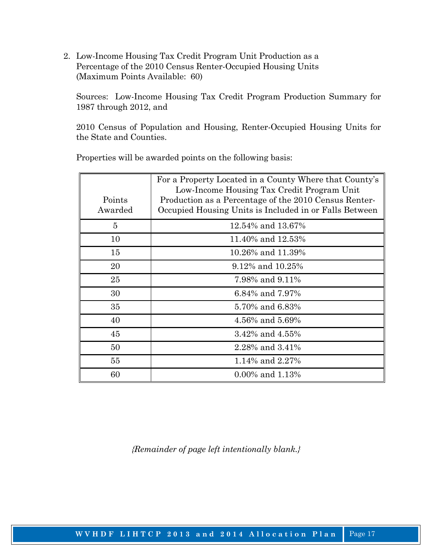2. Low-Income Housing Tax Credit Program Unit Production as a Percentage of the 2010 Census Renter-Occupied Housing Units (Maximum Points Available: 60)

 Sources: Low-Income Housing Tax Credit Program Production Summary for 1987 through 2012, and

 2010 Census of Population and Housing, Renter-Occupied Housing Units for the State and Counties.

| Points<br>Awarded | For a Property Located in a County Where that County's<br>Low-Income Housing Tax Credit Program Unit<br>Production as a Percentage of the 2010 Census Renter-<br>Occupied Housing Units is Included in or Falls Between |
|-------------------|-------------------------------------------------------------------------------------------------------------------------------------------------------------------------------------------------------------------------|
| $\overline{5}$    | 12.54% and 13.67%                                                                                                                                                                                                       |
| 10                | 11.40% and 12.53%                                                                                                                                                                                                       |
| 15                | 10.26% and 11.39%                                                                                                                                                                                                       |
| 20                | 9.12\% and 10.25\%                                                                                                                                                                                                      |
| 25                | 7.98% and 9.11%                                                                                                                                                                                                         |
| 30                | 6.84% and 7.97%                                                                                                                                                                                                         |
| 35                | 5.70% and 6.83%                                                                                                                                                                                                         |
| 40                | 4.56% and 5.69%                                                                                                                                                                                                         |
| 45                | 3.42% and 4.55%                                                                                                                                                                                                         |
| 50                | 2.28% and 3.41%                                                                                                                                                                                                         |
| 55                | 1.14% and 2.27%                                                                                                                                                                                                         |
| 60                | $0.00\%$ and 1.13%                                                                                                                                                                                                      |

Properties will be awarded points on the following basis: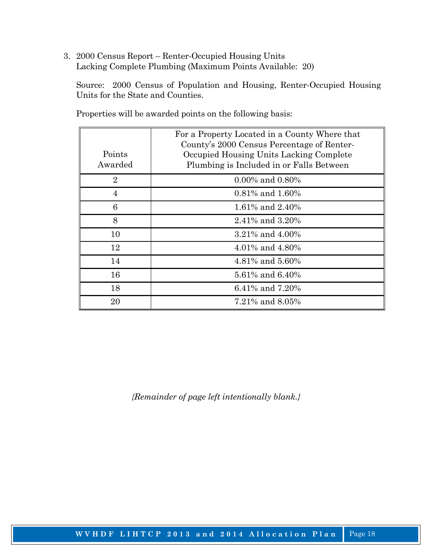3. 2000 Census Report – Renter-Occupied Housing Units Lacking Complete Plumbing (Maximum Points Available: 20)

 Source: 2000 Census of Population and Housing, Renter-Occupied Housing Units for the State and Counties.

| Points<br>Awarded | For a Property Located in a County Where that<br>County's 2000 Census Percentage of Renter-<br>Occupied Housing Units Lacking Complete<br>Plumbing is Included in or Falls Between |
|-------------------|------------------------------------------------------------------------------------------------------------------------------------------------------------------------------------|
| $\overline{2}$    | $0.00\%$ and $0.80\%$                                                                                                                                                              |
| 4                 | $0.81\%$ and $1.60\%$                                                                                                                                                              |
| 6                 | 1.61% and 2.40%                                                                                                                                                                    |
| 8                 | 2.41% and 3.20%                                                                                                                                                                    |
| 10                | $3.21\%$ and $4.00\%$                                                                                                                                                              |
| 12                | 4.01% and 4.80%                                                                                                                                                                    |
| 14                | 4.81% and 5.60%                                                                                                                                                                    |
| 16                | 5.61% and 6.40%                                                                                                                                                                    |
| 18                | 6.41\% and 7.20\%                                                                                                                                                                  |
| 20                | 7.21% and 8.05%                                                                                                                                                                    |

Properties will be awarded points on the following basis: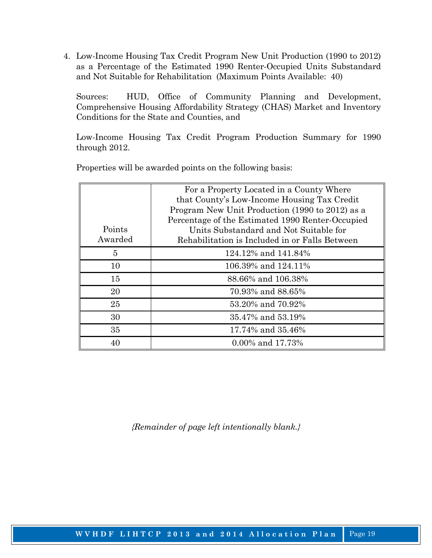4. Low-Income Housing Tax Credit Program New Unit Production (1990 to 2012) as a Percentage of the Estimated 1990 Renter-Occupied Units Substandard and Not Suitable for Rehabilitation (Maximum Points Available: 40)

 Sources: HUD, Office of Community Planning and Development, Comprehensive Housing Affordability Strategy (CHAS) Market and Inventory Conditions for the State and Counties, and

 Low-Income Housing Tax Credit Program Production Summary for 1990 through 2012.

| Points<br>Awarded | For a Property Located in a County Where<br>that County's Low-Income Housing Tax Credit<br>Program New Unit Production (1990 to 2012) as a<br>Percentage of the Estimated 1990 Renter-Occupied<br>Units Substandard and Not Suitable for<br>Rehabilitation is Included in or Falls Between |
|-------------------|--------------------------------------------------------------------------------------------------------------------------------------------------------------------------------------------------------------------------------------------------------------------------------------------|
| 5                 | 124.12% and 141.84%                                                                                                                                                                                                                                                                        |
| 10                | 106.39% and 124.11%                                                                                                                                                                                                                                                                        |
| 15                | 88.66% and 106.38%                                                                                                                                                                                                                                                                         |
| 20                | 70.93% and 88.65%                                                                                                                                                                                                                                                                          |
| 25                | 53.20% and 70.92%                                                                                                                                                                                                                                                                          |
| 30                | 35.47% and 53.19%                                                                                                                                                                                                                                                                          |
| 35                | 17.74% and 35.46%                                                                                                                                                                                                                                                                          |
|                   | $0.00\%$ and 17.73%                                                                                                                                                                                                                                                                        |

Properties will be awarded points on the following basis: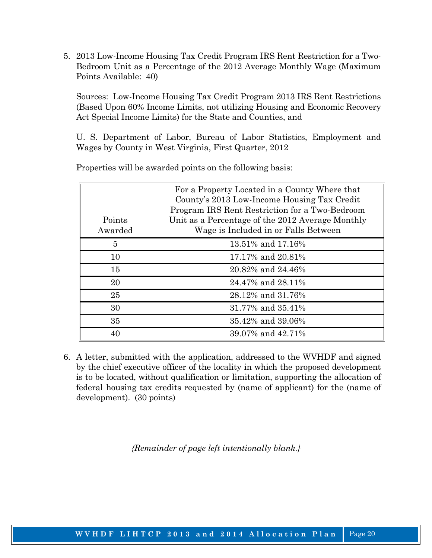5. 2013 Low-Income Housing Tax Credit Program IRS Rent Restriction for a Two-Bedroom Unit as a Percentage of the 2012 Average Monthly Wage (Maximum Points Available: 40)

 Sources: Low-Income Housing Tax Credit Program 2013 IRS Rent Restrictions (Based Upon 60% Income Limits, not utilizing Housing and Economic Recovery Act Special Income Limits) for the State and Counties, and

 U. S. Department of Labor, Bureau of Labor Statistics, Employment and Wages by County in West Virginia, First Quarter, 2012

| Points<br>Awarded | For a Property Located in a County Where that<br>County's 2013 Low-Income Housing Tax Credit<br>Program IRS Rent Restriction for a Two-Bedroom<br>Unit as a Percentage of the 2012 Average Monthly<br>Wage is Included in or Falls Between |
|-------------------|--------------------------------------------------------------------------------------------------------------------------------------------------------------------------------------------------------------------------------------------|
| $\overline{5}$    | 13.51% and 17.16%                                                                                                                                                                                                                          |
| 10                | 17.17% and 20.81%                                                                                                                                                                                                                          |
| 15                | 20.82% and 24.46%                                                                                                                                                                                                                          |
| 20                | 24.47% and 28.11%                                                                                                                                                                                                                          |
| 25                | 28.12% and 31.76%                                                                                                                                                                                                                          |
| 30                | 31.77% and 35.41%                                                                                                                                                                                                                          |
| 35                | 35.42% and 39.06%                                                                                                                                                                                                                          |
| 40                | 39.07% and 42.71%                                                                                                                                                                                                                          |

Properties will be awarded points on the following basis:

 6. A letter, submitted with the application, addressed to the WVHDF and signed by the chief executive officer of the locality in which the proposed development is to be located, without qualification or limitation, supporting the allocation of federal housing tax credits requested by (name of applicant) for the (name of development). (30 points)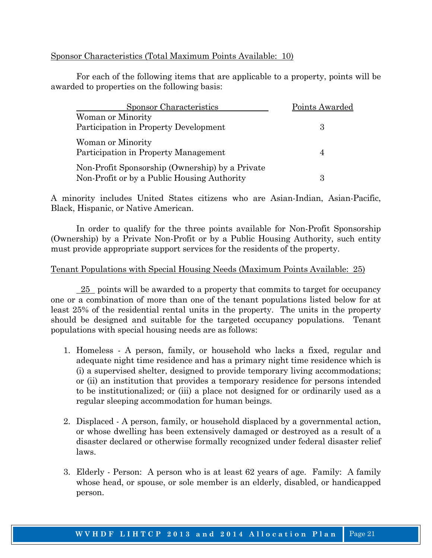### Sponsor Characteristics (Total Maximum Points Available: 10)

 For each of the following items that are applicable to a property, points will be awarded to properties on the following basis:

| Sponsor Characteristics                                                                        | Points Awarded |  |  |  |
|------------------------------------------------------------------------------------------------|----------------|--|--|--|
| Woman or Minority                                                                              |                |  |  |  |
| Participation in Property Development                                                          | 3              |  |  |  |
| Woman or Minority<br>Participation in Property Management                                      |                |  |  |  |
| Non-Profit Sponsorship (Ownership) by a Private<br>Non-Profit or by a Public Housing Authority |                |  |  |  |

A minority includes United States citizens who are Asian-Indian, Asian-Pacific, Black, Hispanic, or Native American.

 In order to qualify for the three points available for Non-Profit Sponsorship (Ownership) by a Private Non-Profit or by a Public Housing Authority, such entity must provide appropriate support services for the residents of the property.

### Tenant Populations with Special Housing Needs (Maximum Points Available: 25)

 25 points will be awarded to a property that commits to target for occupancy one or a combination of more than one of the tenant populations listed below for at least 25% of the residential rental units in the property. The units in the property should be designed and suitable for the targeted occupancy populations. Tenant populations with special housing needs are as follows:

- 1. Homeless A person, family, or household who lacks a fixed, regular and adequate night time residence and has a primary night time residence which is (i) a supervised shelter, designed to provide temporary living accommodations; or (ii) an institution that provides a temporary residence for persons intended to be institutionalized; or (iii) a place not designed for or ordinarily used as a regular sleeping accommodation for human beings.
- 2. Displaced A person, family, or household displaced by a governmental action, or whose dwelling has been extensively damaged or destroyed as a result of a disaster declared or otherwise formally recognized under federal disaster relief laws.
- 3. Elderly Person: A person who is at least 62 years of age. Family: A family whose head, or spouse, or sole member is an elderly, disabled, or handicapped person.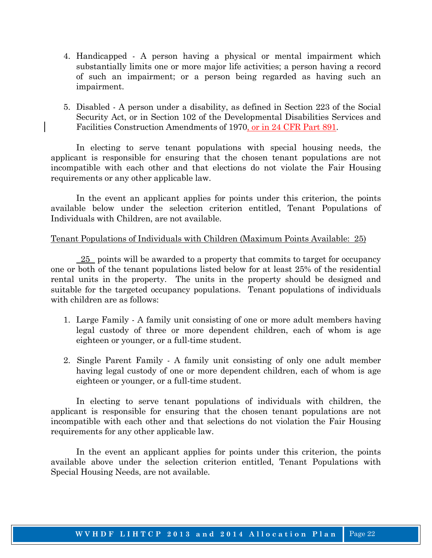- 4. Handicapped A person having a physical or mental impairment which substantially limits one or more major life activities; a person having a record of such an impairment; or a person being regarded as having such an impairment.
- 5. Disabled A person under a disability, as defined in Section 223 of the Social Security Act, or in Section 102 of the Developmental Disabilities Services and Facilities Construction Amendments of 1970, or in 24 CFR Part 891.

 In electing to serve tenant populations with special housing needs, the applicant is responsible for ensuring that the chosen tenant populations are not incompatible with each other and that elections do not violate the Fair Housing requirements or any other applicable law.

 In the event an applicant applies for points under this criterion, the points available below under the selection criterion entitled, Tenant Populations of Individuals with Children, are not available.

#### Tenant Populations of Individuals with Children (Maximum Points Available: 25)

 $25$  points will be awarded to a property that commits to target for occupancy one or both of the tenant populations listed below for at least 25% of the residential rental units in the property. The units in the property should be designed and suitable for the targeted occupancy populations. Tenant populations of individuals with children are as follows:

- 1. Large Family A family unit consisting of one or more adult members having legal custody of three or more dependent children, each of whom is age eighteen or younger, or a full-time student.
- 2. Single Parent Family A family unit consisting of only one adult member having legal custody of one or more dependent children, each of whom is age eighteen or younger, or a full-time student.

 In electing to serve tenant populations of individuals with children, the applicant is responsible for ensuring that the chosen tenant populations are not incompatible with each other and that selections do not violation the Fair Housing requirements for any other applicable law.

 In the event an applicant applies for points under this criterion, the points available above under the selection criterion entitled, Tenant Populations with Special Housing Needs, are not available.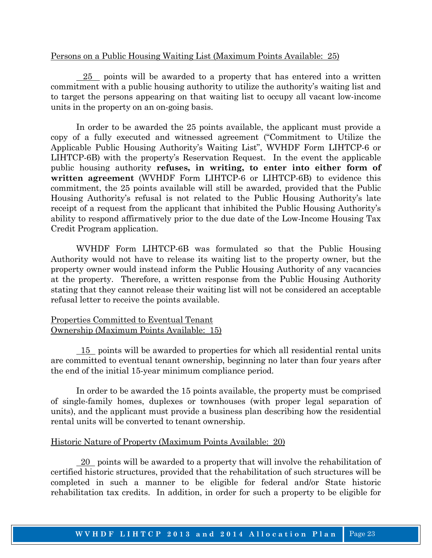#### Persons on a Public Housing Waiting List (Maximum Points Available: 25)

 $25$  points will be awarded to a property that has entered into a written commitment with a public housing authority to utilize the authority's waiting list and to target the persons appearing on that waiting list to occupy all vacant low-income units in the property on an on-going basis.

 In order to be awarded the 25 points available, the applicant must provide a copy of a fully executed and witnessed agreement ("Commitment to Utilize the Applicable Public Housing Authority's Waiting List", WVHDF Form LIHTCP-6 or LIHTCP-6B) with the property's Reservation Request. In the event the applicable public housing authority **refuses, in writing, to enter into either form of written agreement** (WVHDF Form LIHTCP-6 or LIHTCP-6B) to evidence this commitment, the 25 points available will still be awarded, provided that the Public Housing Authority's refusal is not related to the Public Housing Authority's late receipt of a request from the applicant that inhibited the Public Housing Authority's ability to respond affirmatively prior to the due date of the Low-Income Housing Tax Credit Program application.

 WVHDF Form LIHTCP-6B was formulated so that the Public Housing Authority would not have to release its waiting list to the property owner, but the property owner would instead inform the Public Housing Authority of any vacancies at the property. Therefore, a written response from the Public Housing Authority stating that they cannot release their waiting list will not be considered an acceptable refusal letter to receive the points available.

#### Properties Committed to Eventual Tenant Ownership (Maximum Points Available: 15)

 15 points will be awarded to properties for which all residential rental units are committed to eventual tenant ownership, beginning no later than four years after the end of the initial 15-year minimum compliance period.

 In order to be awarded the 15 points available, the property must be comprised of single-family homes, duplexes or townhouses (with proper legal separation of units), and the applicant must provide a business plan describing how the residential rental units will be converted to tenant ownership.

### Historic Nature of Property (Maximum Points Available: 20)

 20 points will be awarded to a property that will involve the rehabilitation of certified historic structures, provided that the rehabilitation of such structures will be completed in such a manner to be eligible for federal and/or State historic rehabilitation tax credits. In addition, in order for such a property to be eligible for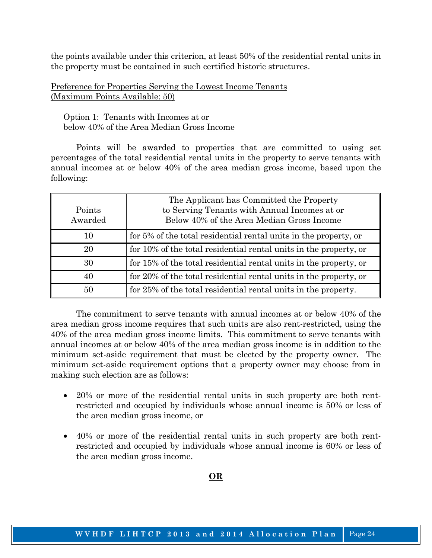the points available under this criterion, at least 50% of the residential rental units in the property must be contained in such certified historic structures.

Preference for Properties Serving the Lowest Income Tenants (Maximum Points Available: 50)

 Option 1: Tenants with Incomes at or below 40% of the Area Median Gross Income

 Points will be awarded to properties that are committed to using set percentages of the total residential rental units in the property to serve tenants with annual incomes at or below 40% of the area median gross income, based upon the following:

| Points<br>Awarded | The Applicant has Committed the Property<br>to Serving Tenants with Annual Incomes at or<br>Below 40% of the Area Median Gross Income |
|-------------------|---------------------------------------------------------------------------------------------------------------------------------------|
| 10                | for 5% of the total residential rental units in the property, or                                                                      |
| 20                | for 10% of the total residential rental units in the property, or                                                                     |
| 30                | for 15% of the total residential rental units in the property, or                                                                     |
| 40                | for 20% of the total residential rental units in the property, or                                                                     |
| 50                | for 25% of the total residential rental units in the property.                                                                        |

 The commitment to serve tenants with annual incomes at or below 40% of the area median gross income requires that such units are also rent-restricted, using the 40% of the area median gross income limits. This commitment to serve tenants with annual incomes at or below 40% of the area median gross income is in addition to the minimum set-aside requirement that must be elected by the property owner. The minimum set-aside requirement options that a property owner may choose from in making such election are as follows:

- 20% or more of the residential rental units in such property are both rentrestricted and occupied by individuals whose annual income is 50% or less of the area median gross income, or
- 40% or more of the residential rental units in such property are both rentrestricted and occupied by individuals whose annual income is 60% or less of the area median gross income.

#### **OR**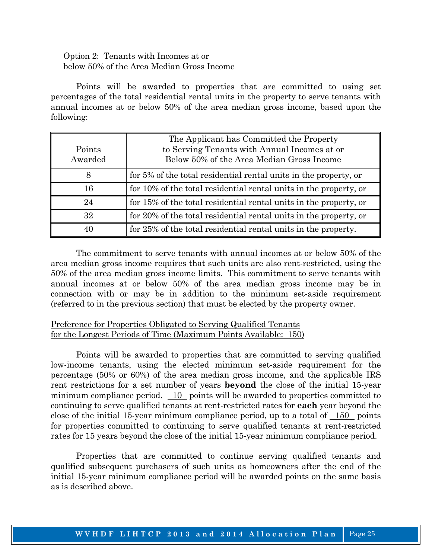### Option 2: Tenants with Incomes at or below 50% of the Area Median Gross Income

 Points will be awarded to properties that are committed to using set percentages of the total residential rental units in the property to serve tenants with annual incomes at or below 50% of the area median gross income, based upon the following:

| Points<br>Awarded | The Applicant has Committed the Property<br>to Serving Tenants with Annual Incomes at or<br>Below 50% of the Area Median Gross Income |
|-------------------|---------------------------------------------------------------------------------------------------------------------------------------|
| 8                 | for 5% of the total residential rental units in the property, or                                                                      |
| 16                | for 10% of the total residential rental units in the property, or                                                                     |
| 24                | for 15% of the total residential rental units in the property, or                                                                     |
| 32                | for 20% of the total residential rental units in the property, or                                                                     |
| 40                | for 25% of the total residential rental units in the property.                                                                        |

 The commitment to serve tenants with annual incomes at or below 50% of the area median gross income requires that such units are also rent-restricted, using the 50% of the area median gross income limits. This commitment to serve tenants with annual incomes at or below 50% of the area median gross income may be in connection with or may be in addition to the minimum set-aside requirement (referred to in the previous section) that must be elected by the property owner.

### Preference for Properties Obligated to Serving Qualified Tenants for the Longest Periods of Time (Maximum Points Available: 150)

 Points will be awarded to properties that are committed to serving qualified low-income tenants, using the elected minimum set-aside requirement for the percentage (50% or 60%) of the area median gross income, and the applicable IRS rent restrictions for a set number of years **beyond** the close of the initial 15-year minimum compliance period. 10 points will be awarded to properties committed to continuing to serve qualified tenants at rent-restricted rates for **each** year beyond the close of the initial 15-year minimum compliance period, up to a total of 150 points for properties committed to continuing to serve qualified tenants at rent-restricted rates for 15 years beyond the close of the initial 15-year minimum compliance period.

 Properties that are committed to continue serving qualified tenants and qualified subsequent purchasers of such units as homeowners after the end of the initial 15-year minimum compliance period will be awarded points on the same basis as is described above.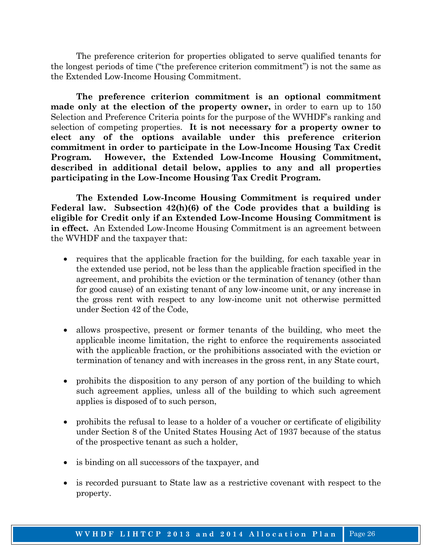The preference criterion for properties obligated to serve qualified tenants for the longest periods of time ("the preference criterion commitment") is not the same as the Extended Low-Income Housing Commitment.

 **The preference criterion commitment is an optional commitment made only at the election of the property owner,** in order to earn up to 150 Selection and Preference Criteria points for the purpose of the WVHDF's ranking and selection of competing properties. **It is not necessary for a property owner to elect any of the options available under this preference criterion commitment in order to participate in the Low-Income Housing Tax Credit Program. However, the Extended Low-Income Housing Commitment, described in additional detail below, applies to any and all properties participating in the Low-Income Housing Tax Credit Program.** 

 **The Extended Low-Income Housing Commitment is required under Federal law. Subsection 42(h)(6) of the Code provides that a building is eligible for Credit only if an Extended Low-Income Housing Commitment is in effect.** An Extended Low-Income Housing Commitment is an agreement between the WVHDF and the taxpayer that:

- requires that the applicable fraction for the building, for each taxable year in the extended use period, not be less than the applicable fraction specified in the agreement, and prohibits the eviction or the termination of tenancy (other than for good cause) of an existing tenant of any low-income unit, or any increase in the gross rent with respect to any low-income unit not otherwise permitted under Section 42 of the Code,
- allows prospective, present or former tenants of the building, who meet the applicable income limitation, the right to enforce the requirements associated with the applicable fraction, or the prohibitions associated with the eviction or termination of tenancy and with increases in the gross rent, in any State court,
- prohibits the disposition to any person of any portion of the building to which such agreement applies, unless all of the building to which such agreement applies is disposed of to such person,
- prohibits the refusal to lease to a holder of a voucher or certificate of eligibility under Section 8 of the United States Housing Act of 1937 because of the status of the prospective tenant as such a holder,
- is binding on all successors of the taxpayer, and
- is recorded pursuant to State law as a restrictive covenant with respect to the property.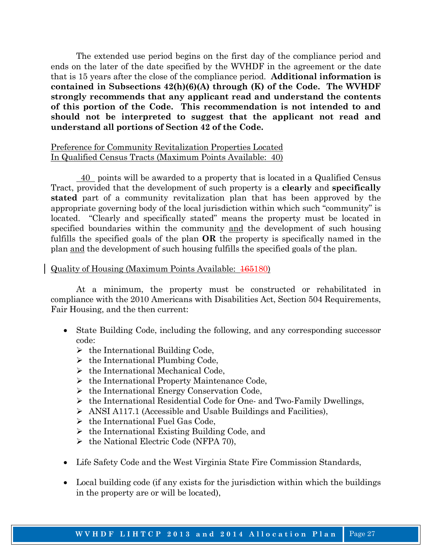The extended use period begins on the first day of the compliance period and ends on the later of the date specified by the WVHDF in the agreement or the date that is 15 years after the close of the compliance period. **Additional information is contained in Subsections 42(h)(6)(A) through (K) of the Code. The WVHDF strongly recommends that any applicant read and understand the contents of this portion of the Code. This recommendation is not intended to and should not be interpreted to suggest that the applicant not read and understand all portions of Section 42 of the Code.** 

#### Preference for Community Revitalization Properties Located In Qualified Census Tracts (Maximum Points Available: 40)

 40 points will be awarded to a property that is located in a Qualified Census Tract, provided that the development of such property is a **clearly** and **specifically stated** part of a community revitalization plan that has been approved by the appropriate governing body of the local jurisdiction within which such "community" is located. "Clearly and specifically stated" means the property must be located in specified boundaries within the community and the development of such housing fulfills the specified goals of the plan **OR** the property is specifically named in the plan and the development of such housing fulfills the specified goals of the plan.

#### Quality of Housing (Maximum Points Available: 165180)

 At a minimum, the property must be constructed or rehabilitated in compliance with the 2010 Americans with Disabilities Act, Section 504 Requirements, Fair Housing, and the then current:

- State Building Code, including the following, and any corresponding successor code:
	- $\triangleright$  the International Building Code,
	- $\triangleright$  the International Plumbing Code,
	- $\triangleright$  the International Mechanical Code,
	- $\triangleright$  the International Property Maintenance Code,
	- $\triangleright$  the International Energy Conservation Code,
	- $\triangleright$  the International Residential Code for One- and Two-Family Dwellings,
	- ¾ ANSI A117.1 (Accessible and Usable Buildings and Facilities),
	- $\triangleright$  the International Fuel Gas Code,
	- $\triangleright$  the International Existing Building Code, and
	- $\triangleright$  the National Electric Code (NFPA 70),
- Life Safety Code and the West Virginia State Fire Commission Standards,
- Local building code (if any exists for the jurisdiction within which the buildings in the property are or will be located),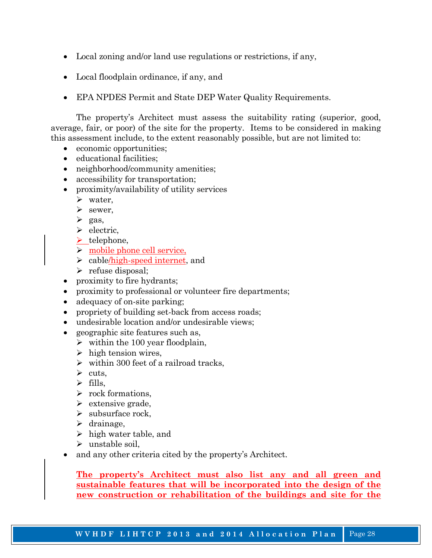- Local zoning and/or land use regulations or restrictions, if any,
- Local floodplain ordinance, if any, and
- EPA NPDES Permit and State DEP Water Quality Requirements.

 The property's Architect must assess the suitability rating (superior, good, average, fair, or poor) of the site for the property. Items to be considered in making this assessment include, to the extent reasonably possible, but are not limited to:

- economic opportunities;
- educational facilities;
- neighborhood/community amenities;
- accessibility for transportation;
- proximity/availability of utility services
	- $\triangleright$  water,
	- $\triangleright$  sewer,
	- $\triangleright$  gas,
	- $\triangleright$  electric,
	- $\blacktriangleright$  telephone,
	- $\triangleright$  mobile phone cell service,
	- $\geq$  cable/high-speed internet, and
	- $\triangleright$  refuse disposal;
- proximity to fire hydrants;
- proximity to professional or volunteer fire departments;
- adequacy of on-site parking;
- propriety of building set-back from access roads;
- undesirable location and/or undesirable views;
- geographic site features such as,
	- $\triangleright$  within the 100 year floodplain,
	- $\triangleright$  high tension wires,
	- $\triangleright$  within 300 feet of a railroad tracks,
	- $\triangleright$  cuts.
	- $\triangleright$  fills,
	- $\triangleright$  rock formations.
	- $\triangleright$  extensive grade,
	- $\triangleright$  subsurface rock,
	- $\blacktriangleright$  drainage,
	- $\triangleright$  high water table, and
	- $\triangleright$  unstable soil.
- and any other criteria cited by the property's Architect.

**The property's Architect must also list any and all green and sustainable features that will be incorporated into the design of the new construction or rehabilitation of the buildings and site for the**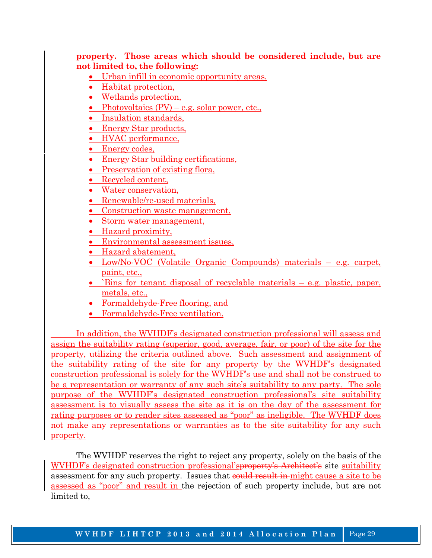#### **property. Those areas which should be considered include, but are not limited to, the following:**

- Urban infill in economic opportunity areas,
- Habitat protection,
- Wetlands protection,
- Photovoltaics  $(PV) e.g.$  solar power, etc.,
- Insulation standards,
- Energy Star products,
- HVAC performance,
- Energy codes,
- Energy Star building certifications,
- Preservation of existing flora,
- Recycled content,
- Water conservation,
- Renewable/re-used materials,
- Construction waste management,
- Storm water management,
- Hazard proximity,
- Environmental assessment issues,
- Hazard abatement,
- Low/No-VOC (Volatile Organic Compounds) materials e.g. carpet, paint, etc.,
- `Bins for tenant disposal of recyclable materials  $-$  e.g. plastic, paper, metals, etc.,
- Formaldehyde-Free flooring, and
- Formaldehyde-Free ventilation.

 In addition, the WVHDF's designated construction professional will assess and assign the suitability rating (superior, good, average, fair, or poor) of the site for the property, utilizing the criteria outlined above. Such assessment and assignment of the suitability rating of the site for any property by the WVHDF's designated construction professional is solely for the WVHDF's use and shall not be construed to be a representation or warranty of any such site's suitability to any party. The sole purpose of the WVHDF's designated construction professional's site suitability assessment is to visually assess the site as it is on the day of the assessment for rating purposes or to render sites assessed as "poor" as ineligible. The WVHDF does not make any representations or warranties as to the site suitability for any such property.

 The WVHDF reserves the right to reject any property, solely on the basis of the WVHDF's designated construction professional'sproperty's Architect's site suitability assessment for any such property. Issues that could result in might cause a site to be assessed as "poor" and result in the rejection of such property include, but are not limited to,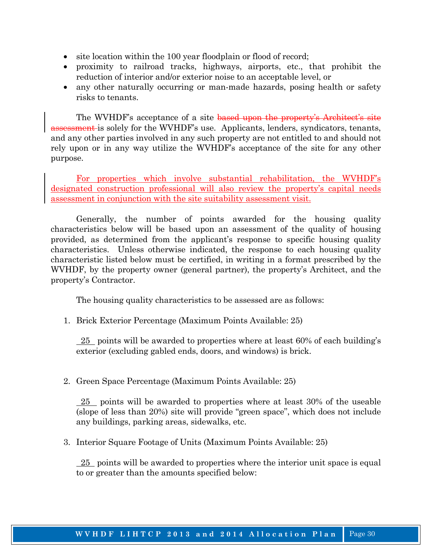- site location within the 100 year floodplain or flood of record;
- proximity to railroad tracks, highways, airports, etc., that prohibit the reduction of interior and/or exterior noise to an acceptable level, or
- any other naturally occurring or man-made hazards, posing health or safety risks to tenants.

The WVHDF's acceptance of a site based upon the property's Architect's site assessment is solely for the WVHDF's use. Applicants, lenders, syndicators, tenants, and any other parties involved in any such property are not entitled to and should not rely upon or in any way utilize the WVHDF's acceptance of the site for any other purpose.

 For properties which involve substantial rehabilitation, the WVHDF's designated construction professional will also review the property's capital needs assessment in conjunction with the site suitability assessment visit.

 Generally, the number of points awarded for the housing quality characteristics below will be based upon an assessment of the quality of housing provided, as determined from the applicant's response to specific housing quality characteristics. Unless otherwise indicated, the response to each housing quality characteristic listed below must be certified, in writing in a format prescribed by the WVHDF, by the property owner (general partner), the property's Architect, and the property's Contractor.

The housing quality characteristics to be assessed are as follows:

1. Brick Exterior Percentage (Maximum Points Available: 25)

 25 points will be awarded to properties where at least 60% of each building's exterior (excluding gabled ends, doors, and windows) is brick.

2. Green Space Percentage (Maximum Points Available: 25)

 $\frac{25}{25}$  points will be awarded to properties where at least 30% of the useable (slope of less than 20%) site will provide "green space", which does not include any buildings, parking areas, sidewalks, etc.

3. Interior Square Footage of Units (Maximum Points Available: 25)

 25 points will be awarded to properties where the interior unit space is equal to or greater than the amounts specified below: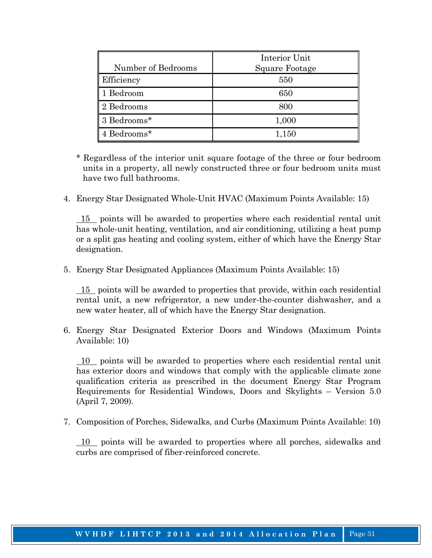|                    | Interior Unit  |
|--------------------|----------------|
| Number of Bedrooms | Square Footage |
| Efficiency         | 550            |
| 1 Bedroom          | 650            |
| 2 Bedrooms         | 800            |
| 3 Bedrooms*        | 1,000          |
| 4 Bedrooms*        | 1,150          |

- \* Regardless of the interior unit square footage of the three or four bedroom units in a property, all newly constructed three or four bedroom units must have two full bathrooms.
- 4. Energy Star Designated Whole-Unit HVAC (Maximum Points Available: 15)

 15 points will be awarded to properties where each residential rental unit has whole-unit heating, ventilation, and air conditioning, utilizing a heat pump or a split gas heating and cooling system, either of which have the Energy Star designation.

5. Energy Star Designated Appliances (Maximum Points Available: 15)

 15 points will be awarded to properties that provide, within each residential rental unit, a new refrigerator, a new under-the-counter dishwasher, and a new water heater, all of which have the Energy Star designation.

6. Energy Star Designated Exterior Doors and Windows (Maximum Points Available: 10)

 10 points will be awarded to properties where each residential rental unit has exterior doors and windows that comply with the applicable climate zone qualification criteria as prescribed in the document Energy Star Program Requirements for Residential Windows, Doors and Skylights – Version 5.0 (April 7, 2009).

7. Composition of Porches, Sidewalks, and Curbs (Maximum Points Available: 10)

 10 points will be awarded to properties where all porches, sidewalks and curbs are comprised of fiber-reinforced concrete.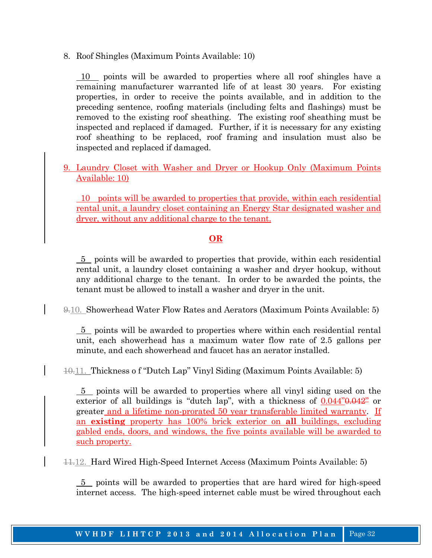8. Roof Shingles (Maximum Points Available: 10)

10 points will be awarded to properties where all roof shingles have a remaining manufacturer warranted life of at least 30 years. For existing properties, in order to receive the points available, and in addition to the preceding sentence, roofing materials (including felts and flashings) must be removed to the existing roof sheathing. The existing roof sheathing must be inspected and replaced if damaged. Further, if it is necessary for any existing roof sheathing to be replaced, roof framing and insulation must also be inspected and replaced if damaged.

9. Laundry Closet with Washer and Dryer or Hookup Only (Maximum Points Available: 10)

 10 points will be awarded to properties that provide, within each residential rental unit, a laundry closet containing an Energy Star designated washer and dryer, without any additional charge to the tenant.

### **OR**

 5 points will be awarded to properties that provide, within each residential rental unit, a laundry closet containing a washer and dryer hookup, without any additional charge to the tenant. In order to be awarded the points, the tenant must be allowed to install a washer and dryer in the unit.

9.10. Showerhead Water Flow Rates and Aerators (Maximum Points Available: 5)

 5 points will be awarded to properties where within each residential rental unit, each showerhead has a maximum water flow rate of 2.5 gallons per minute, and each showerhead and faucet has an aerator installed.

10.11. Thickness o f "Dutch Lap" Vinyl Siding (Maximum Points Available: 5)

 5 points will be awarded to properties where all vinyl siding used on the exterior of all buildings is "dutch lap", with a thickness of  $0.044$ " $0.042$ " or greater and a lifetime non-prorated 50 year transferable limited warranty. If an **existing** property has 100% brick exterior on **all** buildings, excluding gabled ends, doors, and windows, the five points available will be awarded to such property.

11.12. Hard Wired High-Speed Internet Access (Maximum Points Available: 5)

 5 points will be awarded to properties that are hard wired for high-speed internet access. The high-speed internet cable must be wired throughout each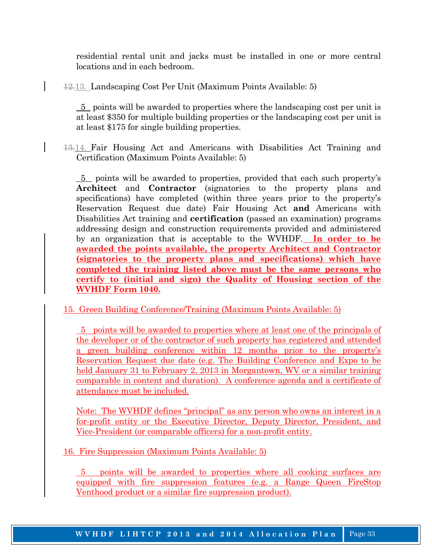residential rental unit and jacks must be installed in one or more central locations and in each bedroom.

12.13. Landscaping Cost Per Unit (Maximum Points Available: 5)

 5 points will be awarded to properties where the landscaping cost per unit is at least \$350 for multiple building properties or the landscaping cost per unit is at least \$175 for single building properties.

13.14. Fair Housing Act and Americans with Disabilities Act Training and Certification (Maximum Points Available: 5)

 5 points will be awarded to properties, provided that each such property's **Architect** and **Contractor** (signatories to the property plans and specifications) have completed (within three years prior to the property's Reservation Request due date) Fair Housing Act **and** Americans with Disabilities Act training and **certification** (passed an examination) programs addressing design and construction requirements provided and administered by an organization that is acceptable to the WVHDF. **In order to be awarded the points available, the property Architect and Contractor (signatories to the property plans and specifications) which have completed the training listed above must be the same persons who certify to (initial and sign) the Quality of Housing section of the WVHDF Form 1040.**

15. Green Building Conference/Training (Maximum Points Available: 5)

 5 points will be awarded to properties where at least one of the principals of the developer or of the contractor of such property has registered and attended a green building conference within 12 months prior to the property's Reservation Request due date (e.g. The Building Conference and Expo to be held January 31 to February 2, 2013 in Morgantown, WV or a similar training comparable in content and duration). A conference agenda and a certificate of attendance must be included.

Note: The WVHDF defines "principal" as any person who owns an interest in a for-profit entity or the Executive Director, Deputy Director, President, and Vice-President (or comparable officers) for a non-profit entity.

16. Fire Suppression (Maximum Points Available: 5)

 5 points will be awarded to properties where all cooking surfaces are equipped with fire suppression features (e.g. a Range Queen FireStop Venthood product or a similar fire suppression product).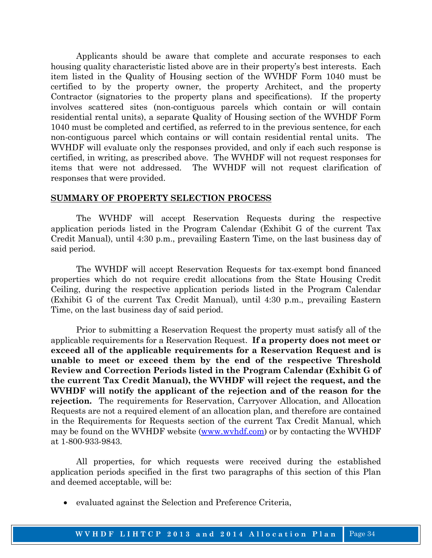Applicants should be aware that complete and accurate responses to each housing quality characteristic listed above are in their property's best interests. Each item listed in the Quality of Housing section of the WVHDF Form 1040 must be certified to by the property owner, the property Architect, and the property Contractor (signatories to the property plans and specifications). If the property involves scattered sites (non-contiguous parcels which contain or will contain residential rental units), a separate Quality of Housing section of the WVHDF Form 1040 must be completed and certified, as referred to in the previous sentence, for each non-contiguous parcel which contains or will contain residential rental units. The WVHDF will evaluate only the responses provided, and only if each such response is certified, in writing, as prescribed above. The WVHDF will not request responses for items that were not addressed. The WVHDF will not request clarification of responses that were provided.

#### **SUMMARY OF PROPERTY SELECTION PROCESS**

 The WVHDF will accept Reservation Requests during the respective application periods listed in the Program Calendar (Exhibit G of the current Tax Credit Manual), until 4:30 p.m., prevailing Eastern Time, on the last business day of said period.

 The WVHDF will accept Reservation Requests for tax-exempt bond financed properties which do not require credit allocations from the State Housing Credit Ceiling, during the respective application periods listed in the Program Calendar (Exhibit G of the current Tax Credit Manual), until 4:30 p.m., prevailing Eastern Time, on the last business day of said period.

 Prior to submitting a Reservation Request the property must satisfy all of the applicable requirements for a Reservation Request. **If a property does not meet or exceed all of the applicable requirements for a Reservation Request and is unable to meet or exceed them by the end of the respective Threshold Review and Correction Periods listed in the Program Calendar (Exhibit G of the current Tax Credit Manual), the WVHDF will reject the request, and the WVHDF will notify the applicant of the rejection and of the reason for the rejection.** The requirements for Reservation, Carryover Allocation, and Allocation Requests are not a required element of an allocation plan, and therefore are contained in the Requirements for Requests section of the current Tax Credit Manual, which may be found on the WVHDF website (www.wvhdf.com) or by contacting the WVHDF at 1-800-933-9843.

 All properties, for which requests were received during the established application periods specified in the first two paragraphs of this section of this Plan and deemed acceptable, will be:

• evaluated against the Selection and Preference Criteria,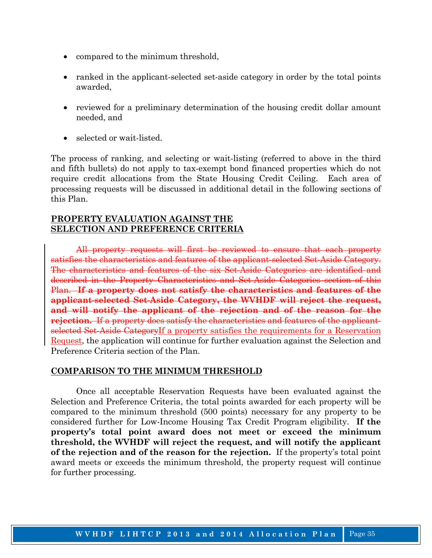- compared to the minimum threshold,
- ranked in the applicant-selected set-aside category in order by the total points awarded,
- reviewed for a preliminary determination of the housing credit dollar amount needed, and
- selected or wait-listed.

The process of ranking, and selecting or wait-listing (referred to above in the third and fifth bullets) do not apply to tax-exempt bond financed properties which do not require credit allocations from the State Housing Credit Ceiling. Each area of processing requests will be discussed in additional detail in the following sections of this Plan.

#### **PROPERTY EVALUATION AGAINST THE SELECTION AND PREFERENCE CRITERIA**

 All property requests will first be reviewed to ensure that each property satisfies the characteristics and features of the applicant-selected Set-Aside Category. The characteristics and features of the six Set-Aside Categories are identified and described in the Property Characteristics and Set-Aside Categories section of this Plan. **If a property does not satisfy the characteristics and features of the applicant-selected Set-Aside Category, the WVHDF will reject the request, and will notify the applicant of the rejection and of the reason for the rejection.** If a property does satisfy the characteristics and features of the applicantselected Set-Aside CategoryIf a property satisfies the requirements for a Reservation Request, the application will continue for further evaluation against the Selection and Preference Criteria section of the Plan.

### **COMPARISON TO THE MINIMUM THRESHOLD**

 Once all acceptable Reservation Requests have been evaluated against the Selection and Preference Criteria, the total points awarded for each property will be compared to the minimum threshold (500 points) necessary for any property to be considered further for Low-Income Housing Tax Credit Program eligibility. **If the property's total point award does not meet or exceed the minimum threshold, the WVHDF will reject the request, and will notify the applicant of the rejection and of the reason for the rejection.** If the property's total point award meets or exceeds the minimum threshold, the property request will continue for further processing.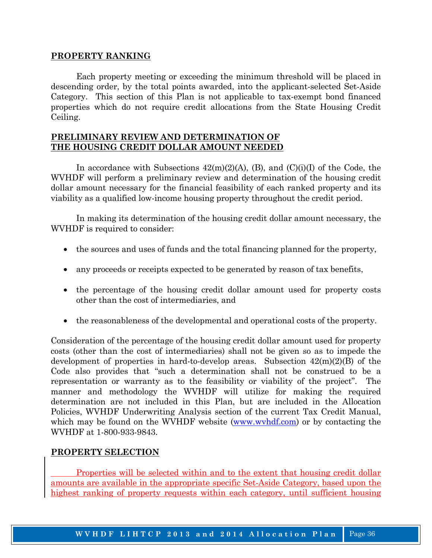#### **PROPERTY RANKING**

 Each property meeting or exceeding the minimum threshold will be placed in descending order, by the total points awarded, into the applicant-selected Set-Aside Category. This section of this Plan is not applicable to tax-exempt bond financed properties which do not require credit allocations from the State Housing Credit Ceiling.

#### **PRELIMINARY REVIEW AND DETERMINATION OF THE HOUSING CREDIT DOLLAR AMOUNT NEEDED**

In accordance with Subsections  $42(m)(2)(A)$ , (B), and  $(C)(i)(I)$  of the Code, the WVHDF will perform a preliminary review and determination of the housing credit dollar amount necessary for the financial feasibility of each ranked property and its viability as a qualified low-income housing property throughout the credit period.

 In making its determination of the housing credit dollar amount necessary, the WVHDF is required to consider:

- the sources and uses of funds and the total financing planned for the property,
- any proceeds or receipts expected to be generated by reason of tax benefits,
- the percentage of the housing credit dollar amount used for property costs other than the cost of intermediaries, and
- the reasonableness of the developmental and operational costs of the property.

Consideration of the percentage of the housing credit dollar amount used for property costs (other than the cost of intermediaries) shall not be given so as to impede the development of properties in hard-to-develop areas. Subsection  $42(m)(2)(B)$  of the Code also provides that "such a determination shall not be construed to be a representation or warranty as to the feasibility or viability of the project". The manner and methodology the WVHDF will utilize for making the required determination are not included in this Plan, but are included in the Allocation Policies, WVHDF Underwriting Analysis section of the current Tax Credit Manual, which may be found on the WVHDF website (www.wvhdf.com) or by contacting the WVHDF at 1-800-933-9843.

### **PROPERTY SELECTION**

 Properties will be selected within and to the extent that housing credit dollar amounts are available in the appropriate specific Set-Aside Category, based upon the highest ranking of property requests within each category, until sufficient housing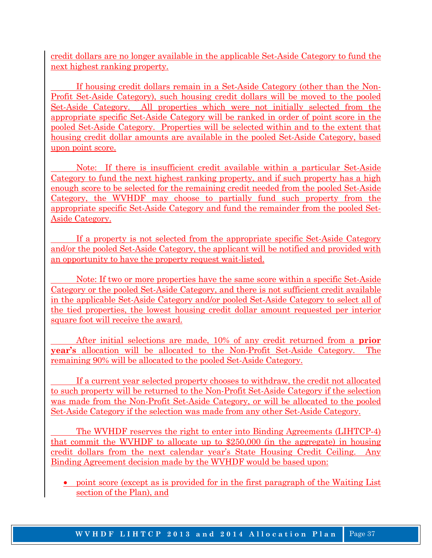credit dollars are no longer available in the applicable Set-Aside Category to fund the next highest ranking property.

 If housing credit dollars remain in a Set-Aside Category (other than the Non-Profit Set-Aside Category), such housing credit dollars will be moved to the pooled Set-Aside Category. All properties which were not initially selected from the appropriate specific Set-Aside Category will be ranked in order of point score in the pooled Set-Aside Category. Properties will be selected within and to the extent that housing credit dollar amounts are available in the pooled Set-Aside Category, based upon point score.

 Note: If there is insufficient credit available within a particular Set-Aside Category to fund the next highest ranking property, and if such property has a high enough score to be selected for the remaining credit needed from the pooled Set-Aside Category, the WVHDF may choose to partially fund such property from the appropriate specific Set-Aside Category and fund the remainder from the pooled Set-Aside Category.

 If a property is not selected from the appropriate specific Set-Aside Category and/or the pooled Set-Aside Category, the applicant will be notified and provided with an opportunity to have the property request wait-listed.

 Note: If two or more properties have the same score within a specific Set-Aside Category or the pooled Set-Aside Category, and there is not sufficient credit available in the applicable Set-Aside Category and/or pooled Set-Aside Category to select all of the tied properties, the lowest housing credit dollar amount requested per interior square foot will receive the award.

 After initial selections are made, 10% of any credit returned from a **prior year's** allocation will be allocated to the Non-Profit Set-Aside Category. The remaining 90% will be allocated to the pooled Set-Aside Category.

 If a current year selected property chooses to withdraw, the credit not allocated to such property will be returned to the Non-Profit Set-Aside Category if the selection was made from the Non-Profit Set-Aside Category, or will be allocated to the pooled Set-Aside Category if the selection was made from any other Set-Aside Category.

 The WVHDF reserves the right to enter into Binding Agreements (LIHTCP-4) that commit the WVHDF to allocate up to \$250,000 (in the aggregate) in housing credit dollars from the next calendar year's State Housing Credit Ceiling. Any Binding Agreement decision made by the WVHDF would be based upon:

• point score (except as is provided for in the first paragraph of the Waiting List section of the Plan), and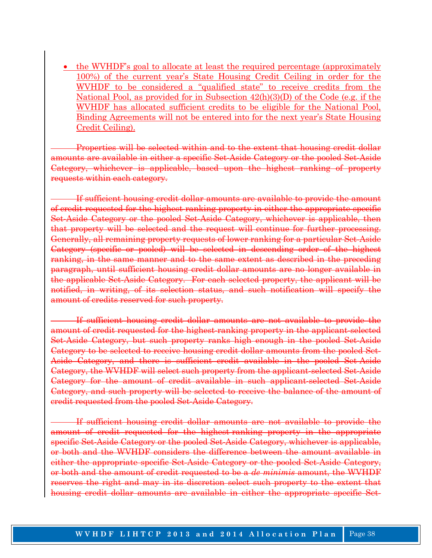• the WVHDF's goal to allocate at least the required percentage (approximately 100%) of the current year's State Housing Credit Ceiling in order for the WVHDF to be considered a "qualified state" to receive credits from the National Pool, as provided for in Subsection 42(h)(3)(D) of the Code (e.g. if the WVHDF has allocated sufficient credits to be eligible for the National Pool, Binding Agreements will not be entered into for the next year's State Housing Credit Ceiling).

Properties will be selected within and to the extent that housing credit dollar amounts are available in either a specific Set-Aside Category or the pooled Set-Aside Category, whichever is applicable, based upon the highest ranking of property requests within each category.

If sufficient housing credit dollar amounts are available to provide the amount of credit requested for the highest-ranking property in either the appropriate specific Set-Aside Category or the pooled Set-Aside Category, whichever is applicable, then that property will be selected and the request will continue for further processing. Generally, all remaining property requests of lower ranking for a particular Set-Aside Category (specific or pooled) will be selected in descending order of the highest ranking, in the same manner and to the same extent as described in the preceding paragraph, until sufficient housing credit dollar amounts are no longer available in the applicable Set-Aside Category. For each selected property, the applicant will be notified, in writing, of its selection status, and such notification will specify the amount of credits reserved for such property.

If sufficient housing credit dollar amounts are not available to provide the amount of credit requested for the highest-ranking property in the applicant-selected Set-Aside Category, but such property ranks high enough in the pooled Set-Aside Category to be selected to receive housing credit dollar amounts from the pooled Set-Aside Category, and there is sufficient credit available in the pooled Set-Aside Category, the WVHDF will select such property from the applicant-selected Set-Aside Category for the amount of credit available in such applicant-selected Set-Aside Category, and such property will be selected to receive the balance of the amount of credit requested from the pooled Set-Aside Category.

If sufficient housing credit dollar amounts are not available to provide the amount of credit requested for the highest-ranking property in the appropriate specific Set-Aside Category or the pooled Set-Aside Category, whichever is applicable, or both and the WVHDF considers the difference between the amount available in either the appropriate specific Set-Aside Category or the pooled Set-Aside Category, or both and the amount of credit requested to be a *de minimis* amount, the WVHDF reserves the right and may in its discretion select such property to the extent that housing credit dollar amounts are available in either the appropriate specific Set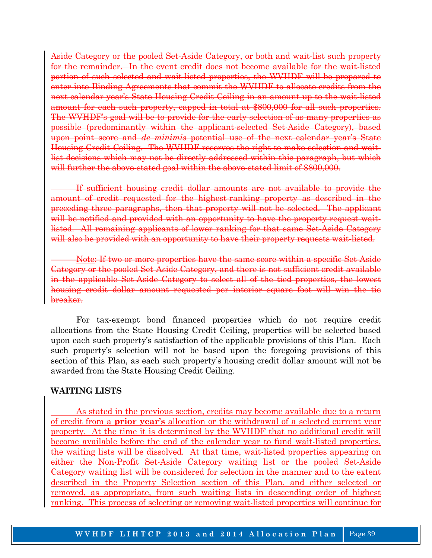Aside Category or the pooled Set-Aside Category, or both and wait-list such property for the remainder. In the event credit does not become available for the wait-listed portion of such selected and wait-listed properties, the WVHDF will be prepared to enter into Binding Agreements that commit the WVHDF to allocate credits from the next calendar year's State Housing Credit Ceiling in an amount up to the wait-listed amount for each such property, capped in total at \$800,000 for all such properties. The WVHDF's goal will be to provide for the early selection of as many properties as possible (predominantly within the applicant-selected Set-Aside Category), based upon point score and *de minimis* potential use of the next calendar year's State Housing Credit Ceiling. The WVHDF reserves the right to make selection and waitlist decisions which may not be directly addressed within this paragraph, but which will further the above-stated goal within the above-stated limit of \$800,000.

If sufficient housing credit dollar amounts are not available to provide the amount of credit requested for the highest-ranking property as described in the preceding three paragraphs, then that property will not be selected. The applicant will be notified and provided with an opportunity to have the property request waitlisted. All remaining applicants of lower ranking for that same Set-Aside Category will also be provided with an opportunity to have their property requests wait-listed.

Note: If two or more properties have the same score within a specific Set-Aside Category or the pooled Set-Aside Category, and there is not sufficient credit available in the applicable Set-Aside Category to select all of the tied properties, the lowest housing credit dollar amount requested per interior square foot will win the tie breaker.

 For tax-exempt bond financed properties which do not require credit allocations from the State Housing Credit Ceiling, properties will be selected based upon each such property's satisfaction of the applicable provisions of this Plan. Each such property's selection will not be based upon the foregoing provisions of this section of this Plan, as each such property's housing credit dollar amount will not be awarded from the State Housing Credit Ceiling.

#### **WAITING LISTS**

 As stated in the previous section, credits may become available due to a return of credit from a **prior year's** allocation or the withdrawal of a selected current year property. At the time it is determined by the WVHDF that no additional credit will become available before the end of the calendar year to fund wait-listed properties, the waiting lists will be dissolved. At that time, wait-listed properties appearing on either the Non-Profit Set-Aside Category waiting list or the pooled Set-Aside Category waiting list will be considered for selection in the manner and to the extent described in the Property Selection section of this Plan, and either selected or removed, as appropriate, from such waiting lists in descending order of highest ranking. This process of selecting or removing wait-listed properties will continue for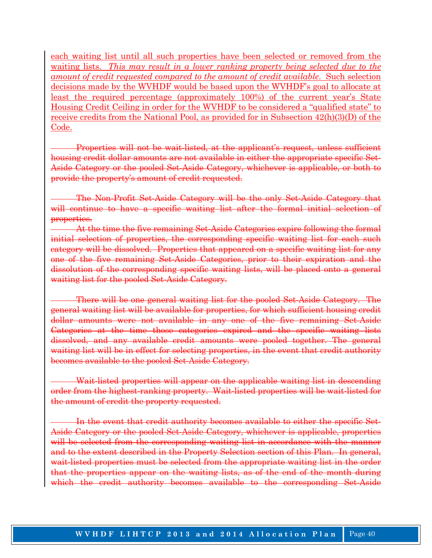each waiting list until all such properties have been selected or removed from the waiting lists. *This may result in a lower ranking property being selected due to the amount of credit requested compared to the amount of credit available*. Such selection decisions made by the WVHDF would be based upon the WVHDF's goal to allocate at least the required percentage (approximately 100%) of the current year's State Housing Credit Ceiling in order for the WVHDF to be considered a "qualified state" to receive credits from the National Pool, as provided for in Subsection 42(h)(3)(D) of the Code.

Properties will not be wait-listed, at the applicant's request, unless sufficient housing credit dollar amounts are not available in either the appropriate specific Set-Aside Category or the pooled Set-Aside Category, whichever is applicable, or both to provide the property's amount of credit requested.

The Non-Profit Set-Aside Category will be the only Set-Aside Category that will continue to have a specific waiting list after the formal initial selection of properties.

At the time the five remaining Set-Aside Categories expire following the formal initial selection of properties, the corresponding specific waiting list for each such category will be dissolved. Properties that appeared on a specific waiting list for any one of the five remaining Set-Aside Categories, prior to their expiration and the dissolution of the corresponding specific waiting lists, will be placed onto a general waiting list for the pooled Set-Aside Category.

There will be one general waiting list for the pooled Set-Aside Category. The general waiting list will be available for properties, for which sufficient housing credit dollar amounts were not available in any one of the five remaining Set-Aside Categories at the time those categories expired and the specific waiting lists dissolved, and any available credit amounts were pooled together. The general waiting list will be in effect for selecting properties, in the event that credit authority becomes available to the pooled Set-Aside Category.

Wait-listed properties will appear on the applicable waiting list in descending order from the highest-ranking property. Wait-listed properties will be wait-listed for the amount of credit the property requested.

In the event that credit authority becomes available to either the specific Set-Aside Category or the pooled Set-Aside Category, whichever is applicable, properties will be selected from the corresponding waiting list in accordance with the manner and to the extent described in the Property Selection section of this Plan. In general, wait-listed properties must be selected from the appropriate waiting list in the order that the properties appear on the waiting lists, as of the end of the month during which the credit authority becomes available to the corresponding Set-Aside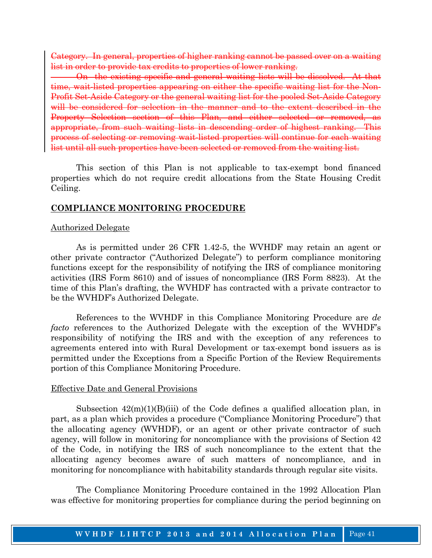Category. In general, properties of higher ranking cannot be passed over on a waiting list in order to provide tax credits to properties of lower ranking.

On the existing specific and general waiting lists will be dissolved. At that time, wait-listed properties appearing on either the specific waiting list for the Non-Profit Set-Aside Category or the general waiting list for the pooled Set-Aside Category will be considered for selection in the manner and to the extent described in the Property Selection section of this Plan, and either selected or removed, as appropriate, from such waiting lists in descending order of highest ranking. This process of selecting or removing wait-listed properties will continue for each waiting list until all such properties have been selected or removed from the waiting list.

 This section of this Plan is not applicable to tax-exempt bond financed properties which do not require credit allocations from the State Housing Credit Ceiling.

#### **COMPLIANCE MONITORING PROCEDURE**

#### Authorized Delegate

 As is permitted under 26 CFR 1.42-5, the WVHDF may retain an agent or other private contractor ("Authorized Delegate") to perform compliance monitoring functions except for the responsibility of notifying the IRS of compliance monitoring activities (IRS Form 8610) and of issues of noncompliance (IRS Form 8823). At the time of this Plan's drafting, the WVHDF has contracted with a private contractor to be the WVHDF's Authorized Delegate.

 References to the WVHDF in this Compliance Monitoring Procedure are *de facto* references to the Authorized Delegate with the exception of the WVHDF's responsibility of notifying the IRS and with the exception of any references to agreements entered into with Rural Development or tax-exempt bond issuers as is permitted under the Exceptions from a Specific Portion of the Review Requirements portion of this Compliance Monitoring Procedure.

#### Effective Date and General Provisions

Subsection  $42(m)(1)(B)(iii)$  of the Code defines a qualified allocation plan, in part, as a plan which provides a procedure ("Compliance Monitoring Procedure") that the allocating agency (WVHDF), or an agent or other private contractor of such agency, will follow in monitoring for noncompliance with the provisions of Section 42 of the Code, in notifying the IRS of such noncompliance to the extent that the allocating agency becomes aware of such matters of noncompliance, and in monitoring for noncompliance with habitability standards through regular site visits.

 The Compliance Monitoring Procedure contained in the 1992 Allocation Plan was effective for monitoring properties for compliance during the period beginning on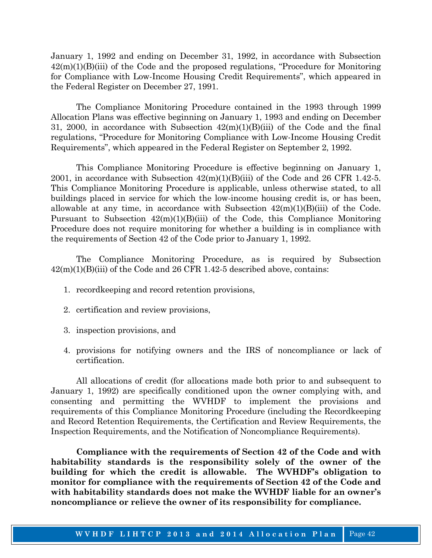January 1, 1992 and ending on December 31, 1992, in accordance with Subsection 42(m)(1)(B)(iii) of the Code and the proposed regulations, "Procedure for Monitoring for Compliance with Low-Income Housing Credit Requirements", which appeared in the Federal Register on December 27, 1991.

 The Compliance Monitoring Procedure contained in the 1993 through 1999 Allocation Plans was effective beginning on January 1, 1993 and ending on December 31, 2000, in accordance with Subsection  $42(m)(1)(B)(iii)$  of the Code and the final regulations, "Procedure for Monitoring Compliance with Low-Income Housing Credit Requirements", which appeared in the Federal Register on September 2, 1992.

 This Compliance Monitoring Procedure is effective beginning on January 1, 2001, in accordance with Subsection  $42(m)(1)(B)(iii)$  of the Code and 26 CFR 1.42-5. This Compliance Monitoring Procedure is applicable, unless otherwise stated, to all buildings placed in service for which the low-income housing credit is, or has been, allowable at any time, in accordance with Subsection  $42(m)(1)(B)(iii)$  of the Code. Pursuant to Subsection  $42(m)(1)(B)(iii)$  of the Code, this Compliance Monitoring Procedure does not require monitoring for whether a building is in compliance with the requirements of Section 42 of the Code prior to January 1, 1992.

 The Compliance Monitoring Procedure, as is required by Subsection  $42(m)(1)(B)(iii)$  of the Code and 26 CFR 1.42-5 described above, contains:

- 1. recordkeeping and record retention provisions,
- 2. certification and review provisions,
- 3. inspection provisions, and
- 4. provisions for notifying owners and the IRS of noncompliance or lack of certification.

 All allocations of credit (for allocations made both prior to and subsequent to January 1, 1992) are specifically conditioned upon the owner complying with, and consenting and permitting the WVHDF to implement the provisions and requirements of this Compliance Monitoring Procedure (including the Recordkeeping and Record Retention Requirements, the Certification and Review Requirements, the Inspection Requirements, and the Notification of Noncompliance Requirements).

 **Compliance with the requirements of Section 42 of the Code and with habitability standards is the responsibility solely of the owner of the building for which the credit is allowable. The WVHDF's obligation to monitor for compliance with the requirements of Section 42 of the Code and with habitability standards does not make the WVHDF liable for an owner's noncompliance or relieve the owner of its responsibility for compliance.**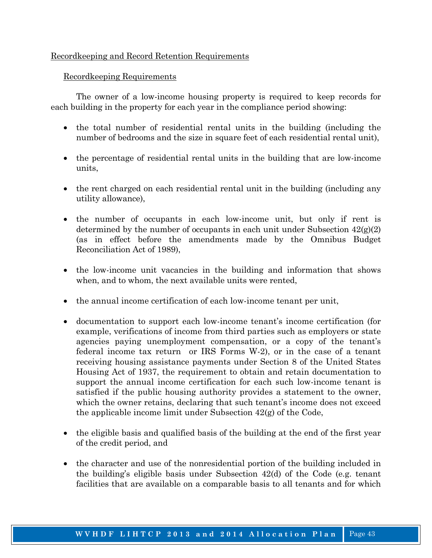### Recordkeeping and Record Retention Requirements

### Recordkeeping Requirements

 The owner of a low-income housing property is required to keep records for each building in the property for each year in the compliance period showing:

- the total number of residential rental units in the building (including the number of bedrooms and the size in square feet of each residential rental unit),
- the percentage of residential rental units in the building that are low-income units,
- the rent charged on each residential rental unit in the building (including any utility allowance),
- the number of occupants in each low-income unit, but only if rent is determined by the number of occupants in each unit under Subsection  $42(g(2))$ (as in effect before the amendments made by the Omnibus Budget Reconciliation Act of 1989),
- the low-income unit vacancies in the building and information that shows when, and to whom, the next available units were rented,
- the annual income certification of each low-income tenant per unit,
- documentation to support each low-income tenant's income certification (for example, verifications of income from third parties such as employers or state agencies paying unemployment compensation, or a copy of the tenant's federal income tax return or IRS Forms W-2), or in the case of a tenant receiving housing assistance payments under Section 8 of the United States Housing Act of 1937, the requirement to obtain and retain documentation to support the annual income certification for each such low-income tenant is satisfied if the public housing authority provides a statement to the owner, which the owner retains, declaring that such tenant's income does not exceed the applicable income limit under Subsection 42(g) of the Code,
- the eligible basis and qualified basis of the building at the end of the first year of the credit period, and
- the character and use of the nonresidential portion of the building included in the building's eligible basis under Subsection 42(d) of the Code (e.g. tenant facilities that are available on a comparable basis to all tenants and for which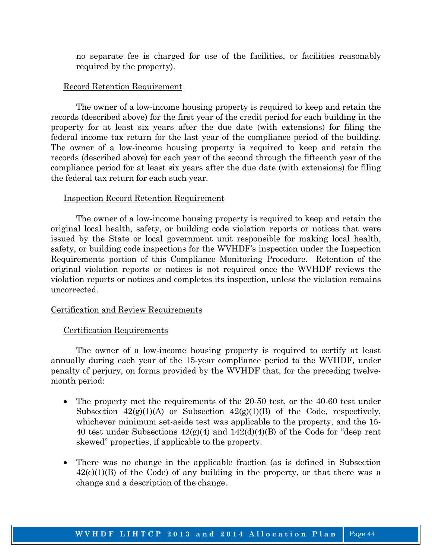no separate fee is charged for use of the facilities, or facilities reasonably required by the property).

#### Record Retention Requirement

 The owner of a low-income housing property is required to keep and retain the records (described above) for the first year of the credit period for each building in the property for at least six years after the due date (with extensions) for filing the federal income tax return for the last year of the compliance period of the building. The owner of a low-income housing property is required to keep and retain the records (described above) for each year of the second through the fifteenth year of the compliance period for at least six years after the due date (with extensions) for filing the federal tax return for each such year.

#### Inspection Record Retention Requirement

 The owner of a low-income housing property is required to keep and retain the original local health, safety, or building code violation reports or notices that were issued by the State or local government unit responsible for making local health, safety, or building code inspections for the WVHDF's inspection under the Inspection Requirements portion of this Compliance Monitoring Procedure. Retention of the original violation reports or notices is not required once the WVHDF reviews the violation reports or notices and completes its inspection, unless the violation remains uncorrected.

#### Certification and Review Requirements

#### Certification Requirements

 The owner of a low-income housing property is required to certify at least annually during each year of the 15-year compliance period to the WVHDF, under penalty of perjury, on forms provided by the WVHDF that, for the preceding twelvemonth period:

- The property met the requirements of the 20-50 test, or the 40-60 test under Subsection  $42(g)(1)(A)$  or Subsection  $42(g)(1)(B)$  of the Code, respectively, whichever minimum set-aside test was applicable to the property, and the 15- 40 test under Subsections  $42(g)(4)$  and  $142(d)(4)(B)$  of the Code for "deep rent skewed" properties, if applicable to the property.
- There was no change in the applicable fraction (as is defined in Subsection  $42(c)(1)(B)$  of the Code) of any building in the property, or that there was a change and a description of the change.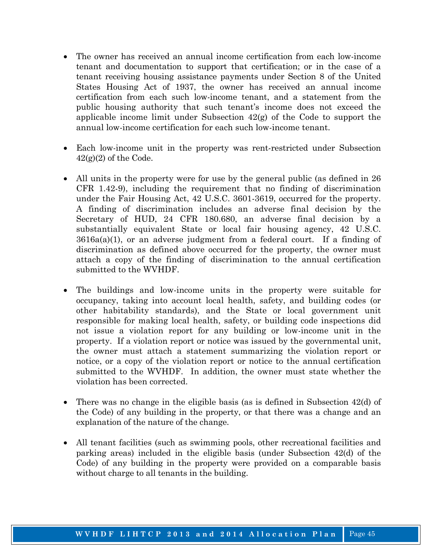- The owner has received an annual income certification from each low-income tenant and documentation to support that certification; or in the case of a tenant receiving housing assistance payments under Section 8 of the United States Housing Act of 1937, the owner has received an annual income certification from each such low-income tenant, and a statement from the public housing authority that such tenant's income does not exceed the applicable income limit under Subsection  $42(g)$  of the Code to support the annual low-income certification for each such low-income tenant.
- Each low-income unit in the property was rent-restricted under Subsection  $42(g)(2)$  of the Code.
- All units in the property were for use by the general public (as defined in 26 CFR 1.42-9), including the requirement that no finding of discrimination under the Fair Housing Act, 42 U.S.C. 3601-3619, occurred for the property. A finding of discrimination includes an adverse final decision by the Secretary of HUD, 24 CFR 180.680, an adverse final decision by a substantially equivalent State or local fair housing agency, 42 U.S.C. 3616a(a)(1), or an adverse judgment from a federal court. If a finding of discrimination as defined above occurred for the property, the owner must attach a copy of the finding of discrimination to the annual certification submitted to the WVHDF.
- The buildings and low-income units in the property were suitable for occupancy, taking into account local health, safety, and building codes (or other habitability standards), and the State or local government unit responsible for making local health, safety, or building code inspections did not issue a violation report for any building or low-income unit in the property. If a violation report or notice was issued by the governmental unit, the owner must attach a statement summarizing the violation report or notice, or a copy of the violation report or notice to the annual certification submitted to the WVHDF. In addition, the owner must state whether the violation has been corrected.
- There was no change in the eligible basis (as is defined in Subsection 42(d) of the Code) of any building in the property, or that there was a change and an explanation of the nature of the change.
- All tenant facilities (such as swimming pools, other recreational facilities and parking areas) included in the eligible basis (under Subsection 42(d) of the Code) of any building in the property were provided on a comparable basis without charge to all tenants in the building.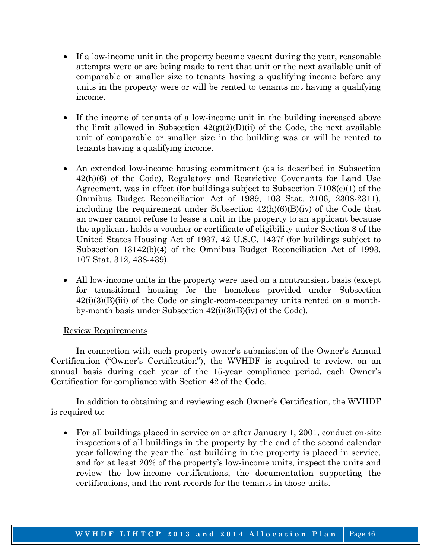- If a low-income unit in the property became vacant during the year, reasonable attempts were or are being made to rent that unit or the next available unit of comparable or smaller size to tenants having a qualifying income before any units in the property were or will be rented to tenants not having a qualifying income.
- If the income of tenants of a low-income unit in the building increased above the limit allowed in Subsection  $42(g)(2)(D)(ii)$  of the Code, the next available unit of comparable or smaller size in the building was or will be rented to tenants having a qualifying income.
- An extended low-income housing commitment (as is described in Subsection 42(h)(6) of the Code), Regulatory and Restrictive Covenants for Land Use Agreement, was in effect (for buildings subject to Subsection 7108(c)(1) of the Omnibus Budget Reconciliation Act of 1989, 103 Stat. 2106, 2308-2311), including the requirement under Subsection  $42(h)(6)(B)(iv)$  of the Code that an owner cannot refuse to lease a unit in the property to an applicant because the applicant holds a voucher or certificate of eligibility under Section 8 of the United States Housing Act of 1937, 42 U.S.C. 1437f (for buildings subject to Subsection 13142(b)(4) of the Omnibus Budget Reconciliation Act of 1993, 107 Stat. 312, 438-439).
- All low-income units in the property were used on a nontransient basis (except for transitional housing for the homeless provided under Subsection  $42(i)(3)(B(iii))$  of the Code or single-room-occupancy units rented on a monthby-month basis under Subsection 42(i)(3)(B)(iv) of the Code).

### Review Requirements

 In connection with each property owner's submission of the Owner's Annual Certification ("Owner's Certification"), the WVHDF is required to review, on an annual basis during each year of the 15-year compliance period, each Owner's Certification for compliance with Section 42 of the Code.

 In addition to obtaining and reviewing each Owner's Certification, the WVHDF is required to:

• For all buildings placed in service on or after January 1, 2001, conduct on-site inspections of all buildings in the property by the end of the second calendar year following the year the last building in the property is placed in service, and for at least 20% of the property's low-income units, inspect the units and review the low-income certifications, the documentation supporting the certifications, and the rent records for the tenants in those units.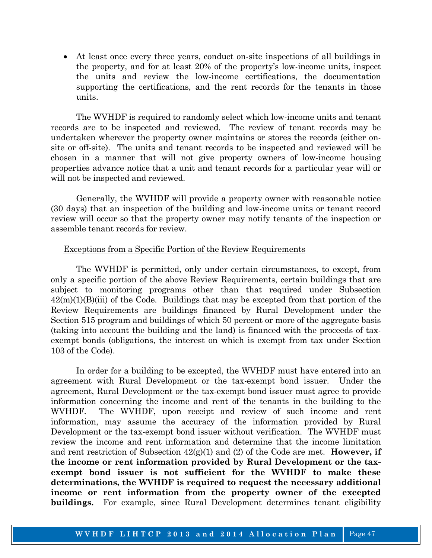• At least once every three years, conduct on-site inspections of all buildings in the property, and for at least 20% of the property's low-income units, inspect the units and review the low-income certifications, the documentation supporting the certifications, and the rent records for the tenants in those units.

 The WVHDF is required to randomly select which low-income units and tenant records are to be inspected and reviewed. The review of tenant records may be undertaken wherever the property owner maintains or stores the records (either onsite or off-site). The units and tenant records to be inspected and reviewed will be chosen in a manner that will not give property owners of low-income housing properties advance notice that a unit and tenant records for a particular year will or will not be inspected and reviewed.

 Generally, the WVHDF will provide a property owner with reasonable notice (30 days) that an inspection of the building and low-income units or tenant record review will occur so that the property owner may notify tenants of the inspection or assemble tenant records for review.

#### Exceptions from a Specific Portion of the Review Requirements

 The WVHDF is permitted, only under certain circumstances, to except, from only a specific portion of the above Review Requirements, certain buildings that are subject to monitoring programs other than that required under Subsection  $42(m)(1)(B)(iii)$  of the Code. Buildings that may be excepted from that portion of the Review Requirements are buildings financed by Rural Development under the Section 515 program and buildings of which 50 percent or more of the aggregate basis (taking into account the building and the land) is financed with the proceeds of taxexempt bonds (obligations, the interest on which is exempt from tax under Section 103 of the Code).

 In order for a building to be excepted, the WVHDF must have entered into an agreement with Rural Development or the tax-exempt bond issuer. Under the agreement, Rural Development or the tax-exempt bond issuer must agree to provide information concerning the income and rent of the tenants in the building to the WVHDF. The WVHDF, upon receipt and review of such income and rent information, may assume the accuracy of the information provided by Rural Development or the tax-exempt bond issuer without verification. The WVHDF must review the income and rent information and determine that the income limitation and rent restriction of Subsection 42(g)(1) and (2) of the Code are met. **However, if the income or rent information provided by Rural Development or the taxexempt bond issuer is not sufficient for the WVHDF to make these determinations, the WVHDF is required to request the necessary additional income or rent information from the property owner of the excepted buildings.** For example, since Rural Development determines tenant eligibility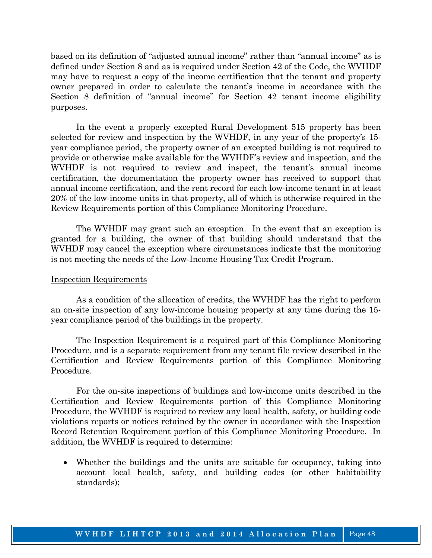based on its definition of "adjusted annual income" rather than "annual income" as is defined under Section 8 and as is required under Section 42 of the Code, the WVHDF may have to request a copy of the income certification that the tenant and property owner prepared in order to calculate the tenant's income in accordance with the Section 8 definition of "annual income" for Section 42 tenant income eligibility purposes.

 In the event a properly excepted Rural Development 515 property has been selected for review and inspection by the WVHDF, in any year of the property's 15 year compliance period, the property owner of an excepted building is not required to provide or otherwise make available for the WVHDF's review and inspection, and the WVHDF is not required to review and inspect, the tenant's annual income certification, the documentation the property owner has received to support that annual income certification, and the rent record for each low-income tenant in at least 20% of the low-income units in that property, all of which is otherwise required in the Review Requirements portion of this Compliance Monitoring Procedure.

 The WVHDF may grant such an exception. In the event that an exception is granted for a building, the owner of that building should understand that the WVHDF may cancel the exception where circumstances indicate that the monitoring is not meeting the needs of the Low-Income Housing Tax Credit Program.

#### Inspection Requirements

 As a condition of the allocation of credits, the WVHDF has the right to perform an on-site inspection of any low-income housing property at any time during the 15 year compliance period of the buildings in the property.

 The Inspection Requirement is a required part of this Compliance Monitoring Procedure, and is a separate requirement from any tenant file review described in the Certification and Review Requirements portion of this Compliance Monitoring Procedure.

 For the on-site inspections of buildings and low-income units described in the Certification and Review Requirements portion of this Compliance Monitoring Procedure, the WVHDF is required to review any local health, safety, or building code violations reports or notices retained by the owner in accordance with the Inspection Record Retention Requirement portion of this Compliance Monitoring Procedure. In addition, the WVHDF is required to determine:

• Whether the buildings and the units are suitable for occupancy, taking into account local health, safety, and building codes (or other habitability standards);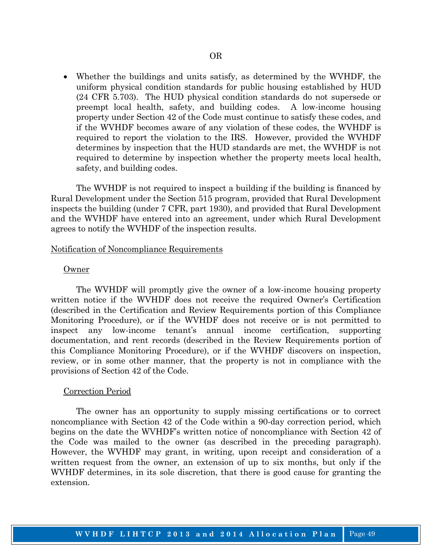• Whether the buildings and units satisfy, as determined by the WVHDF, the uniform physical condition standards for public housing established by HUD (24 CFR 5.703). The HUD physical condition standards do not supersede or preempt local health, safety, and building codes. A low-income housing property under Section 42 of the Code must continue to satisfy these codes, and if the WVHDF becomes aware of any violation of these codes, the WVHDF is required to report the violation to the IRS. However, provided the WVHDF determines by inspection that the HUD standards are met, the WVHDF is not required to determine by inspection whether the property meets local health, safety, and building codes.

 The WVHDF is not required to inspect a building if the building is financed by Rural Development under the Section 515 program, provided that Rural Development inspects the building (under 7 CFR, part 1930), and provided that Rural Development and the WVHDF have entered into an agreement, under which Rural Development agrees to notify the WVHDF of the inspection results.

#### Notification of Noncompliance Requirements

#### Owner

 The WVHDF will promptly give the owner of a low-income housing property written notice if the WVHDF does not receive the required Owner's Certification (described in the Certification and Review Requirements portion of this Compliance Monitoring Procedure), or if the WVHDF does not receive or is not permitted to inspect any low-income tenant's annual income certification, supporting documentation, and rent records (described in the Review Requirements portion of this Compliance Monitoring Procedure), or if the WVHDF discovers on inspection, review, or in some other manner, that the property is not in compliance with the provisions of Section 42 of the Code.

#### Correction Period

 The owner has an opportunity to supply missing certifications or to correct noncompliance with Section 42 of the Code within a 90-day correction period, which begins on the date the WVHDF's written notice of noncompliance with Section 42 of the Code was mailed to the owner (as described in the preceding paragraph). However, the WVHDF may grant, in writing, upon receipt and consideration of a written request from the owner, an extension of up to six months, but only if the WVHDF determines, in its sole discretion, that there is good cause for granting the extension.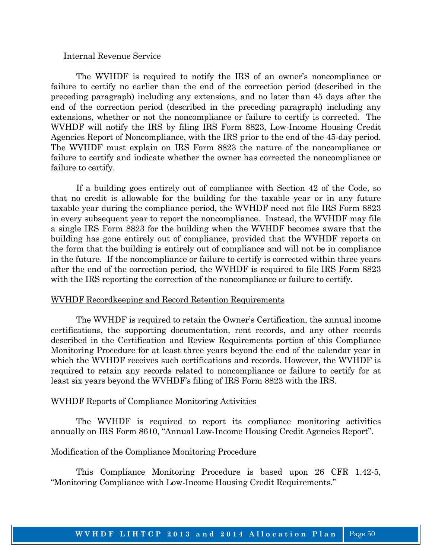#### Internal Revenue Service

 The WVHDF is required to notify the IRS of an owner's noncompliance or failure to certify no earlier than the end of the correction period (described in the preceding paragraph) including any extensions, and no later than 45 days after the end of the correction period (described in the preceding paragraph) including any extensions, whether or not the noncompliance or failure to certify is corrected. The WVHDF will notify the IRS by filing IRS Form 8823, Low-Income Housing Credit Agencies Report of Noncompliance, with the IRS prior to the end of the 45-day period. The WVHDF must explain on IRS Form 8823 the nature of the noncompliance or failure to certify and indicate whether the owner has corrected the noncompliance or failure to certify.

 If a building goes entirely out of compliance with Section 42 of the Code, so that no credit is allowable for the building for the taxable year or in any future taxable year during the compliance period, the WVHDF need not file IRS Form 8823 in every subsequent year to report the noncompliance. Instead, the WVHDF may file a single IRS Form 8823 for the building when the WVHDF becomes aware that the building has gone entirely out of compliance, provided that the WVHDF reports on the form that the building is entirely out of compliance and will not be in compliance in the future. If the noncompliance or failure to certify is corrected within three years after the end of the correction period, the WVHDF is required to file IRS Form 8823 with the IRS reporting the correction of the noncompliance or failure to certify.

#### WVHDF Recordkeeping and Record Retention Requirements

 The WVHDF is required to retain the Owner's Certification, the annual income certifications, the supporting documentation, rent records, and any other records described in the Certification and Review Requirements portion of this Compliance Monitoring Procedure for at least three years beyond the end of the calendar year in which the WVHDF receives such certifications and records. However, the WVHDF is required to retain any records related to noncompliance or failure to certify for at least six years beyond the WVHDF's filing of IRS Form 8823 with the IRS.

#### WVHDF Reports of Compliance Monitoring Activities

 The WVHDF is required to report its compliance monitoring activities annually on IRS Form 8610, "Annual Low-Income Housing Credit Agencies Report".

#### Modification of the Compliance Monitoring Procedure

 This Compliance Monitoring Procedure is based upon 26 CFR 1.42-5, "Monitoring Compliance with Low-Income Housing Credit Requirements."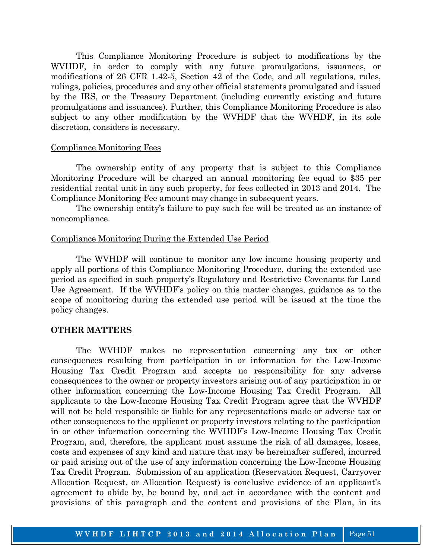This Compliance Monitoring Procedure is subject to modifications by the WVHDF, in order to comply with any future promulgations, issuances, or modifications of 26 CFR 1.42-5, Section 42 of the Code, and all regulations, rules, rulings, policies, procedures and any other official statements promulgated and issued by the IRS, or the Treasury Department (including currently existing and future promulgations and issuances). Further, this Compliance Monitoring Procedure is also subject to any other modification by the WVHDF that the WVHDF, in its sole discretion, considers is necessary.

#### Compliance Monitoring Fees

 The ownership entity of any property that is subject to this Compliance Monitoring Procedure will be charged an annual monitoring fee equal to \$35 per residential rental unit in any such property, for fees collected in 2013 and 2014. The Compliance Monitoring Fee amount may change in subsequent years.

 The ownership entity's failure to pay such fee will be treated as an instance of noncompliance.

#### Compliance Monitoring During the Extended Use Period

 The WVHDF will continue to monitor any low-income housing property and apply all portions of this Compliance Monitoring Procedure, during the extended use period as specified in such property's Regulatory and Restrictive Covenants for Land Use Agreement. If the WVHDF's policy on this matter changes, guidance as to the scope of monitoring during the extended use period will be issued at the time the policy changes.

#### **OTHER MATTERS**

 The WVHDF makes no representation concerning any tax or other consequences resulting from participation in or information for the Low-Income Housing Tax Credit Program and accepts no responsibility for any adverse consequences to the owner or property investors arising out of any participation in or other information concerning the Low-Income Housing Tax Credit Program. All applicants to the Low-Income Housing Tax Credit Program agree that the WVHDF will not be held responsible or liable for any representations made or adverse tax or other consequences to the applicant or property investors relating to the participation in or other information concerning the WVHDF's Low-Income Housing Tax Credit Program, and, therefore, the applicant must assume the risk of all damages, losses, costs and expenses of any kind and nature that may be hereinafter suffered, incurred or paid arising out of the use of any information concerning the Low-Income Housing Tax Credit Program. Submission of an application (Reservation Request, Carryover Allocation Request, or Allocation Request) is conclusive evidence of an applicant's agreement to abide by, be bound by, and act in accordance with the content and provisions of this paragraph and the content and provisions of the Plan, in its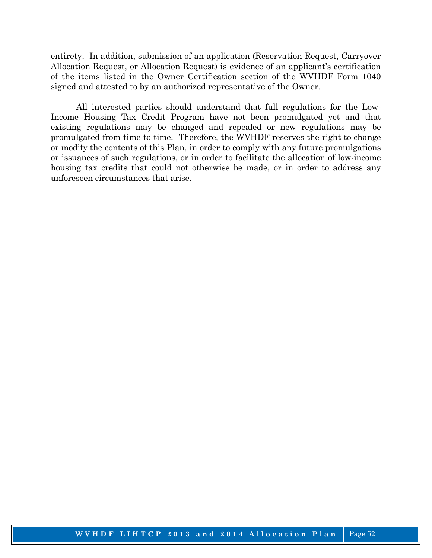entirety. In addition, submission of an application (Reservation Request, Carryover Allocation Request, or Allocation Request) is evidence of an applicant's certification of the items listed in the Owner Certification section of the WVHDF Form 1040 signed and attested to by an authorized representative of the Owner.

 All interested parties should understand that full regulations for the Low-Income Housing Tax Credit Program have not been promulgated yet and that existing regulations may be changed and repealed or new regulations may be promulgated from time to time. Therefore, the WVHDF reserves the right to change or modify the contents of this Plan, in order to comply with any future promulgations or issuances of such regulations, or in order to facilitate the allocation of low-income housing tax credits that could not otherwise be made, or in order to address any unforeseen circumstances that arise.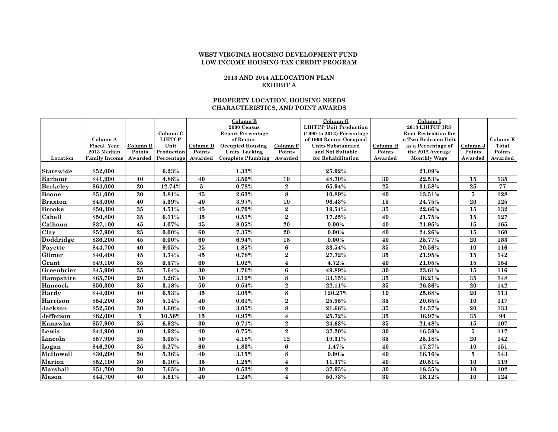#### **2013 AND 2014 ALLOCATION PLAN EXHIBIT A**

#### **PROPERTY LOCATION, HOUSING NEEDS CHARACTERISTICS, AND POINT AWARDS**

|                             |                                |          |                       |            | Column E                                 |                         | Column G                                            |          | Column I                               |                 |                   |
|-----------------------------|--------------------------------|----------|-----------------------|------------|------------------------------------------|-------------------------|-----------------------------------------------------|----------|----------------------------------------|-----------------|-------------------|
|                             |                                |          |                       |            | 2000 Census                              |                         | <b>LIHTCP Unit Production</b>                       |          | 2013 LIHTCP IRS                        |                 |                   |
|                             |                                |          | Column C              |            | <b>Report Percentage</b>                 |                         | $(1990 \text{ to } 2012)$ Percentage                |          | <b>Rent Restriction for</b>            |                 |                   |
|                             | Column A<br><b>Fiscal Year</b> | Column B | <b>LIHTCP</b><br>Unit | Column D   | of Renter-                               | Column F                | of 1990 Renter-Occupied<br><b>Units Substandard</b> | Column H | a Two-Bedroom Unit                     | Column J        | Column K<br>Total |
|                             | 2013 Median                    | Points   | Production            | Points     | <b>Occupied Housing</b><br>Units Lacking | Points                  | and Not Suitable                                    | Points   | as a Percentage of<br>the 2012 Average | Points          | Points            |
| Location                    | <b>Family Income</b>           |          | Awarded Percentage    | Awarded    | <b>Complete Plumbing</b>                 | Awarded                 | for Rehabilitation                                  | Awarded  | <b>Monthly Wage</b>                    | Awarded         | Awarded           |
|                             |                                |          |                       |            |                                          |                         |                                                     |          |                                        |                 |                   |
| Statewide                   | \$52,000                       |          | 6.23%                 |            | 1.33%                                    |                         | 25.92%                                              |          | 21.09%                                 |                 |                   |
| <b>Barbour</b>              | \$41,900                       | 40       | 4.88%                 | 40         | 3.50%                                    | 10                      | 48.70%                                              | 30       | 22.53%                                 | 15              | 135               |
| <b>Berkeley</b>             | \$64.000                       | 20       | 12.74%                | 5          | 0.78%                                    | $\mathbf{2}$            | 65.94%                                              | 25       | 31.58%                                 | 25              | 77                |
| <b>Boone</b>                | \$51,000                       | 30       | 3.81%                 | 45         | 2.63%                                    | 8                       | 10.89%                                              | 40       | $13.51\%$                              | 5               | 128               |
| <b>Braxton</b>              | \$43,000                       | 40       | 5.39%                 | 40         | 3.97%                                    | 10                      | 96.43%                                              | 15       | 24.75%                                 | 20              | 125               |
| <b>Brooke</b>               | \$50,300                       | 35       | 4.51%                 | 45         | 0.70%                                    | $\overline{2}$          | 19.54%                                              | 35       | 22.66%                                 | 15              | 132               |
| $\overline{\text{C}}$ abell | \$50,800                       | 35       | 6.11%                 | 35         | 0.51%                                    | $\bf 2$                 | 17.25%                                              | 40       | 21.75%                                 | 15              | 127               |
| Calhoun                     | \$37,100                       | 45       | 4.07%                 | 45         | 8.05%                                    | $\overline{20}$         | 0.00%                                               | 40       | 21.95%                                 | 15              | 165               |
| Clay                        | \$57,900                       | 25       | $0.00\%$              | 60         | 7.37%                                    | 20                      | 0.00%                                               | 40       | 24.26%                                 | 15              | 160               |
| Doddridge                   | \$36,200                       | 45       | $0.00\%$              | 60         | 6.94%                                    | 18                      | 0.00%                                               | 40       | 25.77%                                 | $20\,$          | 183               |
| Fayette                     | \$44,700                       | 40       | 9.05%                 | ${\bf 25}$ | 1.85%                                    | $6\phantom{1}6$         | 33.54%                                              | 35       | 20.56%                                 | 10              | 116               |
| Gilmer                      | \$40,400                       | 45       | 3.74%                 | 45         | 0.78%                                    | $\bf 2$                 | 27.72%                                              | 35       | 21.95%                                 | 15              | 142               |
| Grant                       | \$49,100                       | 35       | 0.57%                 | 60         | 1.02%                                    | $\overline{\mathbf{4}}$ | 4.72%                                               | 40       | 21.05%                                 | 15              | 154               |
| Greenbrier                  | \$45,900                       | 35       | 7.64%                 | 30         | 1.76%                                    | 6                       | 49.89%                                              | 30       | 23.61%                                 | 15              | 116               |
| Hampshire                   | \$65,700                       | 20       | 3.26%                 | 50         | 3.19%                                    | 8                       | 33.15%                                              | 35       | 36.21%                                 | $35\,$          | 148               |
| Hancock                     | \$50,300                       | $35\,$   | 3.18%                 | 50         | 0.54%                                    | $\bf 2$                 | 22.11%                                              | 35       | 26.36%                                 | 20              | 142               |
| Hardy                       | \$44,000                       | 40       | 6.53%                 | 35         | 3.05%                                    | 8                       | 120.27%                                             | 10       | 25.68%                                 | 20              | 113               |
| <b>Harrison</b>             | \$54,200                       | 30       | 5.14%                 | 40         | 0.61%                                    | $\bf 2$                 | 25.95%                                              | 35       | 20.65%                                 | 10              | 117               |
| Jackson                     | \$52,500                       | 30       | 4.60%                 | 40         | 3.05%                                    | 8                       | 21.66%                                              | 35       | 24.57%                                 | 20              | 133               |
| Jefferson                   | \$82,000                       | 5        | 10.56%                | 15         | 0.97%                                    | $\overline{\mathbf{4}}$ | 25.72%                                              | 35       | 36.97%                                 | 35              | 94                |
| Kanawha                     | \$57,900                       | 25       | 6.92%                 | 30         | 0.71%                                    | $\boldsymbol{2}$        | 24.63%                                              | 35       | 21.48%                                 | 15              | 107               |
| Lewis                       | \$44,900                       | 40       | 4.92%                 | 40         | 0.75%                                    | $\overline{2}$          | 37.20%                                              | 30       | 16.59%                                 | $5\phantom{.0}$ | 117               |
| Lincoln                     | \$57,900                       | 25       | 3.05%                 | 50         | 4.18%                                    | 12                      | 19.31%                                              | 35       | 25.18%                                 | 20              | 142               |
| Logan                       | \$46,200                       | $35\,$   | 0.27%                 | 60         | 1.83%                                    | $6\phantom{1}6$         | 1.47%                                               | 40       | 17.27%                                 | 10              | 151               |
| McDowell                    | \$30,200                       | 50       | 5.36%                 | 40         | 3.15%                                    | 8                       | 0.00%                                               | 40       | 16.16%                                 | 5               | 143               |
| <b>Marion</b>               | \$52,100                       | 30       | 6.10%                 | 35         | 1.25%                                    | $\overline{\mathbf{4}}$ | 11.37%                                              | 40       | 20.51%                                 | 10              | 119               |
| Marshall                    | \$51,700                       | 30       | 7.65%                 | 30         | 0.53%                                    | $\boldsymbol{2}$        | 37.95%                                              | 30       | 18.35%                                 | 10              | 102               |
| Mason                       | \$44,700                       | 40       | 5.61%                 | 40         | 1.24%                                    | $\boldsymbol{4}$        | 50.73%                                              | 30       | 18.12%                                 | 10              | 124               |